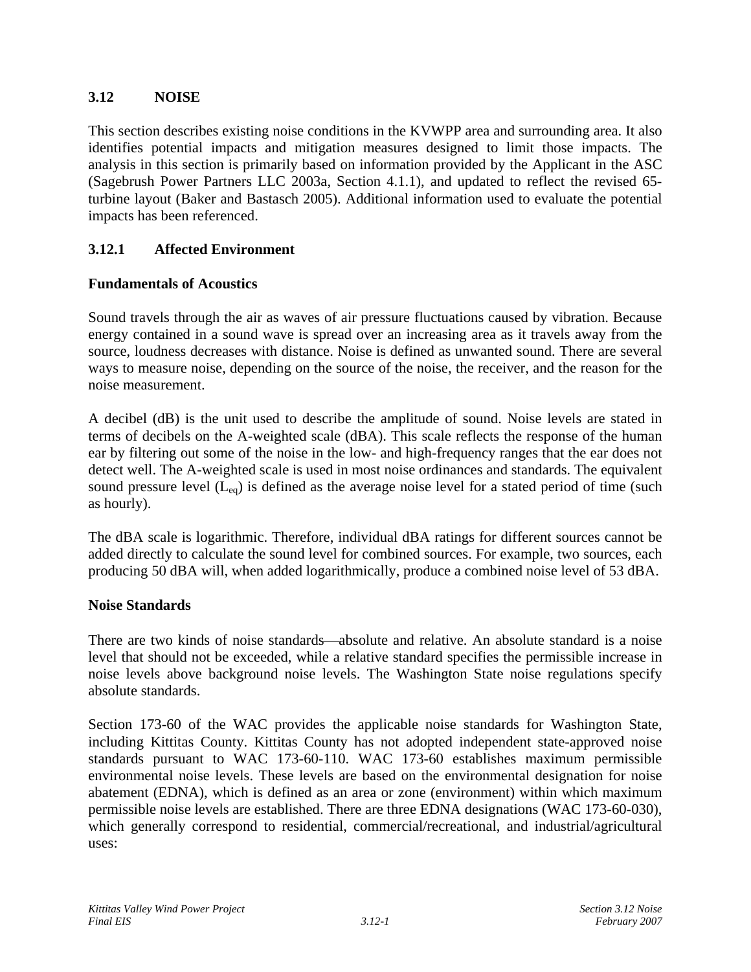# **3.12 NOISE**

This section describes existing noise conditions in the KVWPP area and surrounding area. It also identifies potential impacts and mitigation measures designed to limit those impacts. The analysis in this section is primarily based on information provided by the Applicant in the ASC (Sagebrush Power Partners LLC 2003a, Section 4.1.1), and updated to reflect the revised 65 turbine layout (Baker and Bastasch 2005). Additional information used to evaluate the potential impacts has been referenced.

# **3.12.1 Affected Environment**

## **Fundamentals of Acoustics**

Sound travels through the air as waves of air pressure fluctuations caused by vibration. Because energy contained in a sound wave is spread over an increasing area as it travels away from the source, loudness decreases with distance. Noise is defined as unwanted sound. There are several ways to measure noise, depending on the source of the noise, the receiver, and the reason for the noise measurement.

A decibel (dB) is the unit used to describe the amplitude of sound. Noise levels are stated in terms of decibels on the A-weighted scale (dBA). This scale reflects the response of the human ear by filtering out some of the noise in the low- and high-frequency ranges that the ear does not detect well. The A-weighted scale is used in most noise ordinances and standards. The equivalent sound pressure level  $(L_{eq})$  is defined as the average noise level for a stated period of time (such as hourly).

The dBA scale is logarithmic. Therefore, individual dBA ratings for different sources cannot be added directly to calculate the sound level for combined sources. For example, two sources, each producing 50 dBA will, when added logarithmically, produce a combined noise level of 53 dBA.

## **Noise Standards**

There are two kinds of noise standards—absolute and relative. An absolute standard is a noise level that should not be exceeded, while a relative standard specifies the permissible increase in noise levels above background noise levels. The Washington State noise regulations specify absolute standards.

Section 173-60 of the WAC provides the applicable noise standards for Washington State, including Kittitas County. Kittitas County has not adopted independent state-approved noise standards pursuant to WAC 173-60-110. WAC 173-60 establishes maximum permissible environmental noise levels. These levels are based on the environmental designation for noise abatement (EDNA), which is defined as an area or zone (environment) within which maximum permissible noise levels are established. There are three EDNA designations (WAC 173-60-030), which generally correspond to residential, commercial/recreational, and industrial/agricultural uses: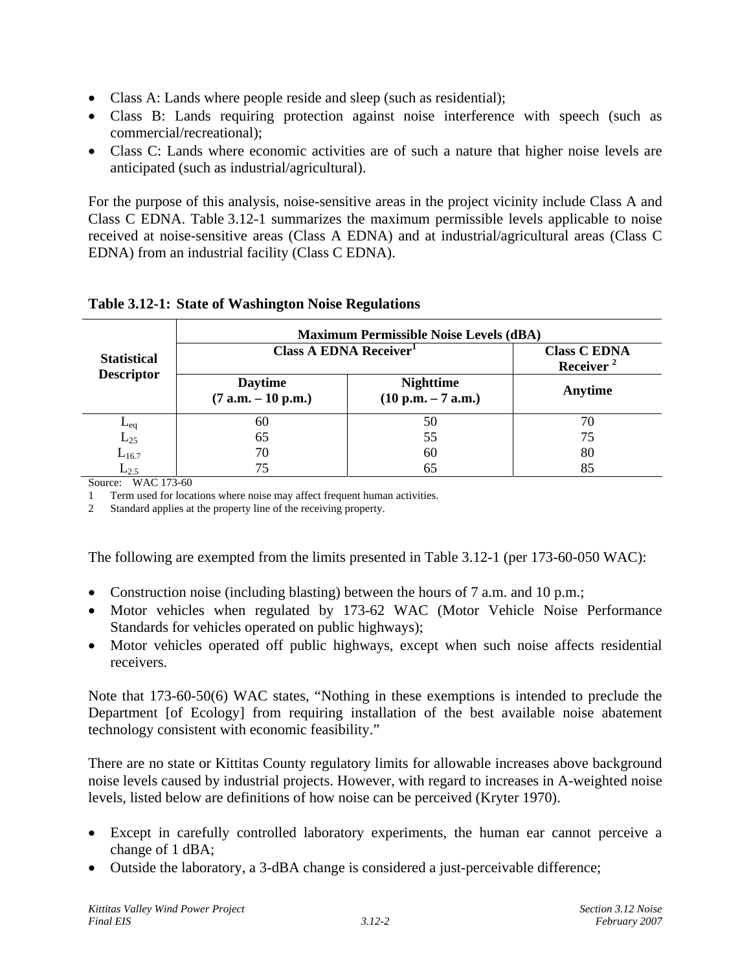- Class A: Lands where people reside and sleep (such as residential);
- Class B: Lands requiring protection against noise interference with speech (such as commercial/recreational);
- Class C: Lands where economic activities are of such a nature that higher noise levels are anticipated (such as industrial/agricultural).

For the purpose of this analysis, noise-sensitive areas in the project vicinity include Class A and Class C EDNA. Table 3.12-1 summarizes the maximum permissible levels applicable to noise received at noise-sensitive areas (Class A EDNA) and at industrial/agricultural areas (Class C EDNA) from an industrial facility (Class C EDNA).

|                                         | <b>Maximum Permissible Noise Levels (dBA)</b> |                                              |         |  |  |  |  |  |  |
|-----------------------------------------|-----------------------------------------------|----------------------------------------------|---------|--|--|--|--|--|--|
| <b>Statistical</b><br><b>Descriptor</b> | Class A EDNA Receiver <sup>1</sup>            | <b>Class C EDNA</b><br>Receiver <sup>2</sup> |         |  |  |  |  |  |  |
|                                         | <b>Daytime</b><br>$(7 a.m. - 10 p.m.)$        | <b>Nighttime</b><br>$(10 p.m. - 7 a.m.)$     | Anytime |  |  |  |  |  |  |
| $L_{eq}$                                | 60                                            | 50                                           | 70      |  |  |  |  |  |  |
| $L_{25}$                                | 65                                            | 55                                           | 75      |  |  |  |  |  |  |
| $L_{16.7}$                              | 70                                            | 60                                           | 80      |  |  |  |  |  |  |
| $L_{2.5}$                               | 75                                            | 65                                           | 85      |  |  |  |  |  |  |

## **Table 3.12-1: State of Washington Noise Regulations**

Source: WAC 173-60

1 Term used for locations where noise may affect frequent human activities.

2 Standard applies at the property line of the receiving property.

The following are exempted from the limits presented in Table 3.12-1 (per 173-60-050 WAC):

- Construction noise (including blasting) between the hours of 7 a.m. and 10 p.m.;
- Motor vehicles when regulated by 173-62 WAC (Motor Vehicle Noise Performance Standards for vehicles operated on public highways);
- Motor vehicles operated off public highways, except when such noise affects residential receivers.

Note that 173-60-50(6) WAC states, "Nothing in these exemptions is intended to preclude the Department [of Ecology] from requiring installation of the best available noise abatement technology consistent with economic feasibility."

There are no state or Kittitas County regulatory limits for allowable increases above background noise levels caused by industrial projects. However, with regard to increases in A-weighted noise levels, listed below are definitions of how noise can be perceived (Kryter 1970).

- Except in carefully controlled laboratory experiments, the human ear cannot perceive a change of 1 dBA;
- Outside the laboratory, a 3-dBA change is considered a just-perceivable difference;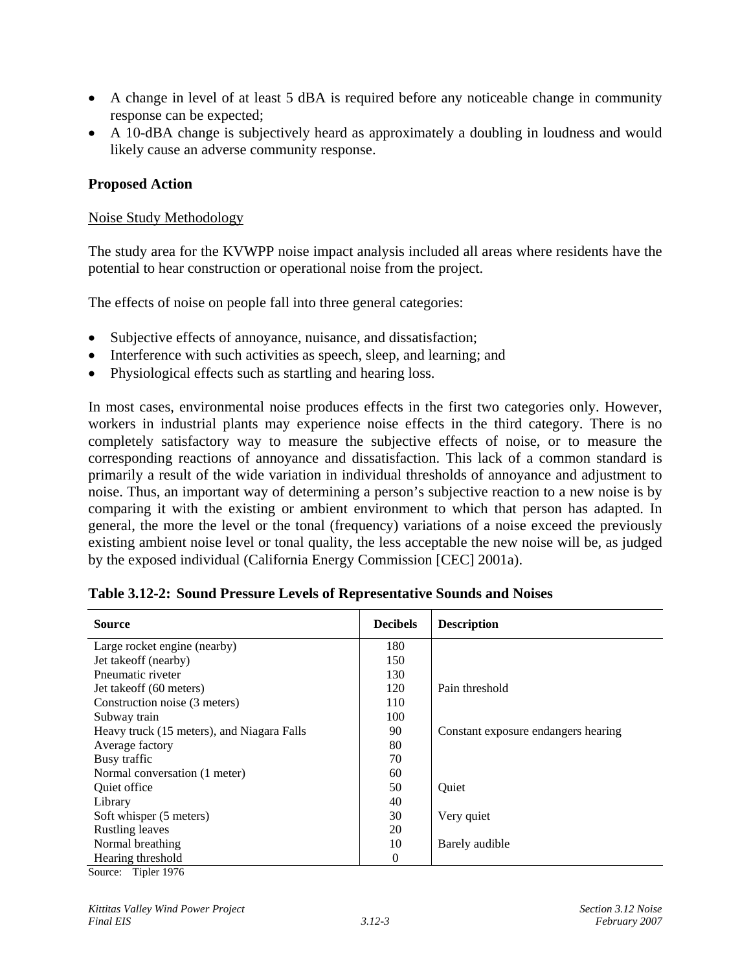- A change in level of at least 5 dBA is required before any noticeable change in community response can be expected;
- A 10-dBA change is subjectively heard as approximately a doubling in loudness and would likely cause an adverse community response.

### **Proposed Action**

### Noise Study Methodology

The study area for the KVWPP noise impact analysis included all areas where residents have the potential to hear construction or operational noise from the project.

The effects of noise on people fall into three general categories:

- Subjective effects of annoyance, nuisance, and dissatisfaction;
- Interference with such activities as speech, sleep, and learning; and
- Physiological effects such as startling and hearing loss.

In most cases, environmental noise produces effects in the first two categories only. However, workers in industrial plants may experience noise effects in the third category. There is no completely satisfactory way to measure the subjective effects of noise, or to measure the corresponding reactions of annoyance and dissatisfaction. This lack of a common standard is primarily a result of the wide variation in individual thresholds of annoyance and adjustment to noise. Thus, an important way of determining a person's subjective reaction to a new noise is by comparing it with the existing or ambient environment to which that person has adapted. In general, the more the level or the tonal (frequency) variations of a noise exceed the previously existing ambient noise level or tonal quality, the less acceptable the new noise will be, as judged by the exposed individual (California Energy Commission [CEC] 2001a).

| <b>Source</b>                              | <b>Decibels</b> | <b>Description</b>                  |
|--------------------------------------------|-----------------|-------------------------------------|
| Large rocket engine (nearby)               | 180             |                                     |
| Jet takeoff (nearby)                       | 150             |                                     |
| Pneumatic riveter                          | 130             |                                     |
| Jet takeoff (60 meters)                    | 120             | Pain threshold                      |
| Construction noise (3 meters)              | 110             |                                     |
| Subway train                               | 100             |                                     |
| Heavy truck (15 meters), and Niagara Falls | 90              | Constant exposure endangers hearing |
| Average factory                            | 80              |                                     |
| Busy traffic                               | 70              |                                     |
| Normal conversation (1 meter)              | 60              |                                     |
| Quiet office                               | 50              | Quiet                               |
| Library                                    | 40              |                                     |
| Soft whisper (5 meters)                    | 30              | Very quiet                          |
| <b>Rustling leaves</b>                     | 20              |                                     |
| Normal breathing                           | 10              | Barely audible                      |
| Hearing threshold<br>$-1$ $-1$             | $\Omega$        |                                     |

Source: Tipler 1976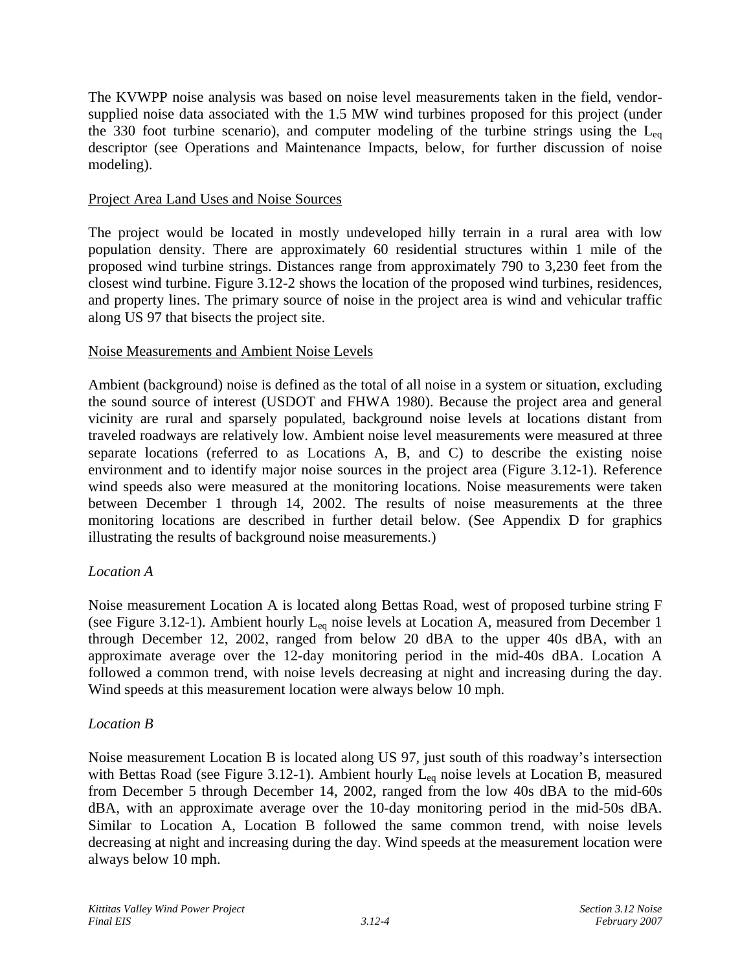The KVWPP noise analysis was based on noise level measurements taken in the field, vendorsupplied noise data associated with the 1.5 MW wind turbines proposed for this project (under the 330 foot turbine scenario), and computer modeling of the turbine strings using the  $L_{eq}$ descriptor (see Operations and Maintenance Impacts, below, for further discussion of noise modeling).

### Project Area Land Uses and Noise Sources

The project would be located in mostly undeveloped hilly terrain in a rural area with low population density. There are approximately 60 residential structures within 1 mile of the proposed wind turbine strings. Distances range from approximately 790 to 3,230 feet from the closest wind turbine. Figure 3.12-2 shows the location of the proposed wind turbines, residences, and property lines. The primary source of noise in the project area is wind and vehicular traffic along US 97 that bisects the project site.

### Noise Measurements and Ambient Noise Levels

Ambient (background) noise is defined as the total of all noise in a system or situation, excluding the sound source of interest (USDOT and FHWA 1980). Because the project area and general vicinity are rural and sparsely populated, background noise levels at locations distant from traveled roadways are relatively low. Ambient noise level measurements were measured at three separate locations (referred to as Locations A, B, and C) to describe the existing noise environment and to identify major noise sources in the project area (Figure 3.12-1). Reference wind speeds also were measured at the monitoring locations. Noise measurements were taken between December 1 through 14, 2002. The results of noise measurements at the three monitoring locations are described in further detail below. (See Appendix D for graphics illustrating the results of background noise measurements.)

## *Location A*

Noise measurement Location A is located along Bettas Road, west of proposed turbine string F (see Figure 3.12-1). Ambient hourly  $L_{eq}$  noise levels at Location A, measured from December 1 through December 12, 2002, ranged from below 20 dBA to the upper 40s dBA, with an approximate average over the 12-day monitoring period in the mid-40s dBA. Location A followed a common trend, with noise levels decreasing at night and increasing during the day. Wind speeds at this measurement location were always below 10 mph.

## *Location B*

Noise measurement Location B is located along US 97, just south of this roadway's intersection with Bettas Road (see Figure 3.12-1). Ambient hourly L<sub>eq</sub> noise levels at Location B, measured from December 5 through December 14, 2002, ranged from the low 40s dBA to the mid-60s dBA, with an approximate average over the 10-day monitoring period in the mid-50s dBA. Similar to Location A, Location B followed the same common trend, with noise levels decreasing at night and increasing during the day. Wind speeds at the measurement location were always below 10 mph.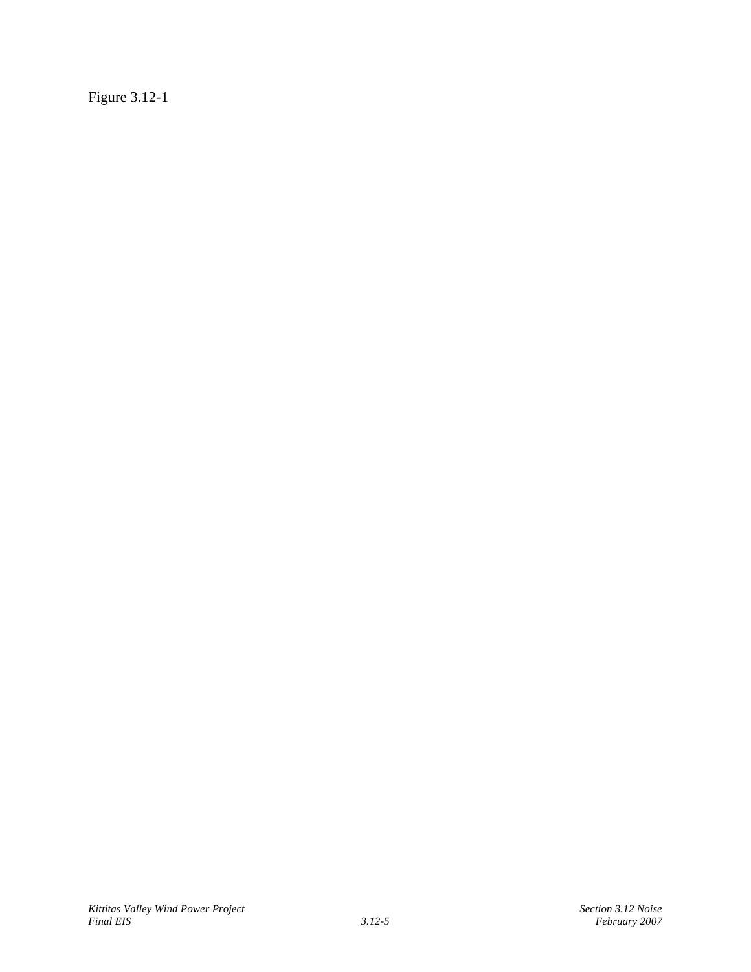Figure 3.12-1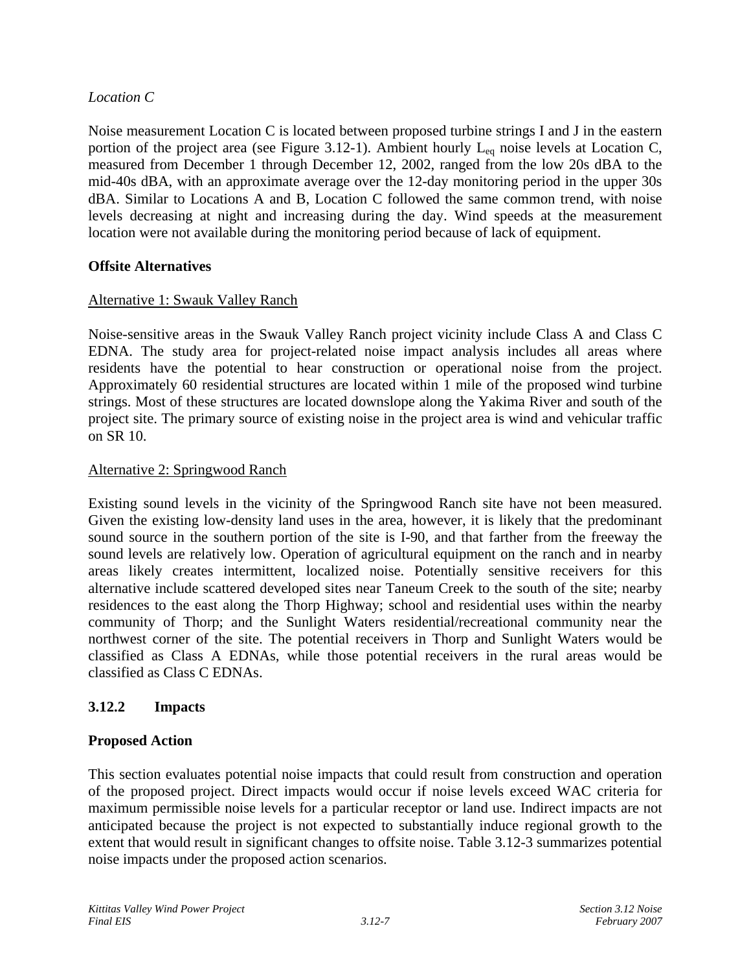## *Location C*

Noise measurement Location C is located between proposed turbine strings I and J in the eastern portion of the project area (see Figure 3.12-1). Ambient hourly  $L_{eq}$  noise levels at Location C, measured from December 1 through December 12, 2002, ranged from the low 20s dBA to the mid-40s dBA, with an approximate average over the 12-day monitoring period in the upper 30s dBA. Similar to Locations A and B, Location C followed the same common trend, with noise levels decreasing at night and increasing during the day. Wind speeds at the measurement location were not available during the monitoring period because of lack of equipment.

## **Offsite Alternatives**

# Alternative 1: Swauk Valley Ranch

Noise-sensitive areas in the Swauk Valley Ranch project vicinity include Class A and Class C EDNA. The study area for project-related noise impact analysis includes all areas where residents have the potential to hear construction or operational noise from the project. Approximately 60 residential structures are located within 1 mile of the proposed wind turbine strings. Most of these structures are located downslope along the Yakima River and south of the project site. The primary source of existing noise in the project area is wind and vehicular traffic on SR 10.

## Alternative 2: Springwood Ranch

Existing sound levels in the vicinity of the Springwood Ranch site have not been measured. Given the existing low-density land uses in the area, however, it is likely that the predominant sound source in the southern portion of the site is I-90, and that farther from the freeway the sound levels are relatively low. Operation of agricultural equipment on the ranch and in nearby areas likely creates intermittent, localized noise. Potentially sensitive receivers for this alternative include scattered developed sites near Taneum Creek to the south of the site; nearby residences to the east along the Thorp Highway; school and residential uses within the nearby community of Thorp; and the Sunlight Waters residential/recreational community near the northwest corner of the site. The potential receivers in Thorp and Sunlight Waters would be classified as Class A EDNAs, while those potential receivers in the rural areas would be classified as Class C EDNAs.

# **3.12.2 Impacts**

## **Proposed Action**

This section evaluates potential noise impacts that could result from construction and operation of the proposed project. Direct impacts would occur if noise levels exceed WAC criteria for maximum permissible noise levels for a particular receptor or land use. Indirect impacts are not anticipated because the project is not expected to substantially induce regional growth to the extent that would result in significant changes to offsite noise. Table 3.12-3 summarizes potential noise impacts under the proposed action scenarios.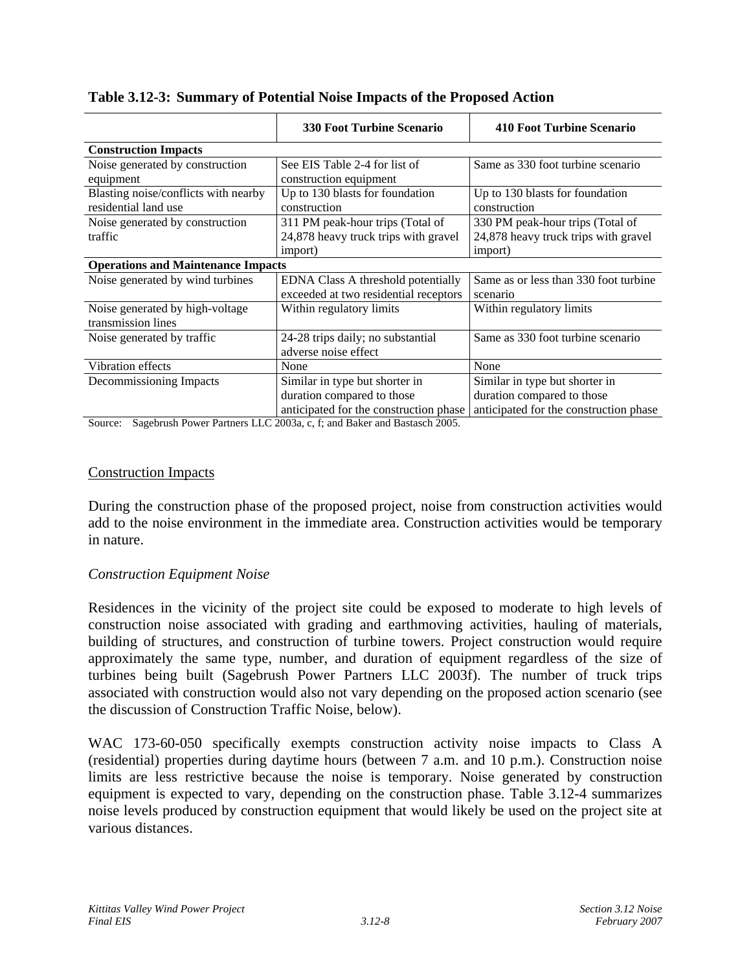|                                           | <b>330 Foot Turbine Scenario</b>       | 410 Foot Turbine Scenario              |  |  |  |  |
|-------------------------------------------|----------------------------------------|----------------------------------------|--|--|--|--|
| <b>Construction Impacts</b>               |                                        |                                        |  |  |  |  |
| Noise generated by construction           | See EIS Table 2-4 for list of          | Same as 330 foot turbine scenario      |  |  |  |  |
| equipment                                 | construction equipment                 |                                        |  |  |  |  |
| Blasting noise/conflicts with nearby      | Up to 130 blasts for foundation        | Up to 130 blasts for foundation        |  |  |  |  |
| residential land use                      | construction                           | construction                           |  |  |  |  |
| Noise generated by construction           | 311 PM peak-hour trips (Total of       | 330 PM peak-hour trips (Total of       |  |  |  |  |
| traffic                                   | 24,878 heavy truck trips with gravel   | 24,878 heavy truck trips with gravel   |  |  |  |  |
|                                           | import)                                | import)                                |  |  |  |  |
| <b>Operations and Maintenance Impacts</b> |                                        |                                        |  |  |  |  |
| Noise generated by wind turbines          | EDNA Class A threshold potentially     | Same as or less than 330 foot turbine  |  |  |  |  |
|                                           | exceeded at two residential receptors  | scenario                               |  |  |  |  |
| Noise generated by high-voltage           | Within regulatory limits               | Within regulatory limits               |  |  |  |  |
| transmission lines                        |                                        |                                        |  |  |  |  |
| Noise generated by traffic.               | 24-28 trips daily; no substantial      | Same as 330 foot turbine scenario      |  |  |  |  |
|                                           | adverse noise effect                   |                                        |  |  |  |  |
| Vibration effects                         | None                                   | None                                   |  |  |  |  |
| Decommissioning Impacts                   | Similar in type but shorter in         | Similar in type but shorter in         |  |  |  |  |
|                                           | duration compared to those             | duration compared to those             |  |  |  |  |
|                                           | anticipated for the construction phase | anticipated for the construction phase |  |  |  |  |

### **Table 3.12-3: Summary of Potential Noise Impacts of the Proposed Action**

Source: Sagebrush Power Partners LLC 2003a, c, f; and Baker and Bastasch 2005.

### Construction Impacts

During the construction phase of the proposed project, noise from construction activities would add to the noise environment in the immediate area. Construction activities would be temporary in nature.

### *Construction Equipment Noise*

Residences in the vicinity of the project site could be exposed to moderate to high levels of construction noise associated with grading and earthmoving activities, hauling of materials, building of structures, and construction of turbine towers. Project construction would require approximately the same type, number, and duration of equipment regardless of the size of turbines being built (Sagebrush Power Partners LLC 2003f). The number of truck trips associated with construction would also not vary depending on the proposed action scenario (see the discussion of Construction Traffic Noise, below).

WAC 173-60-050 specifically exempts construction activity noise impacts to Class A (residential) properties during daytime hours (between 7 a.m. and 10 p.m.). Construction noise limits are less restrictive because the noise is temporary. Noise generated by construction equipment is expected to vary, depending on the construction phase. Table 3.12-4 summarizes noise levels produced by construction equipment that would likely be used on the project site at various distances.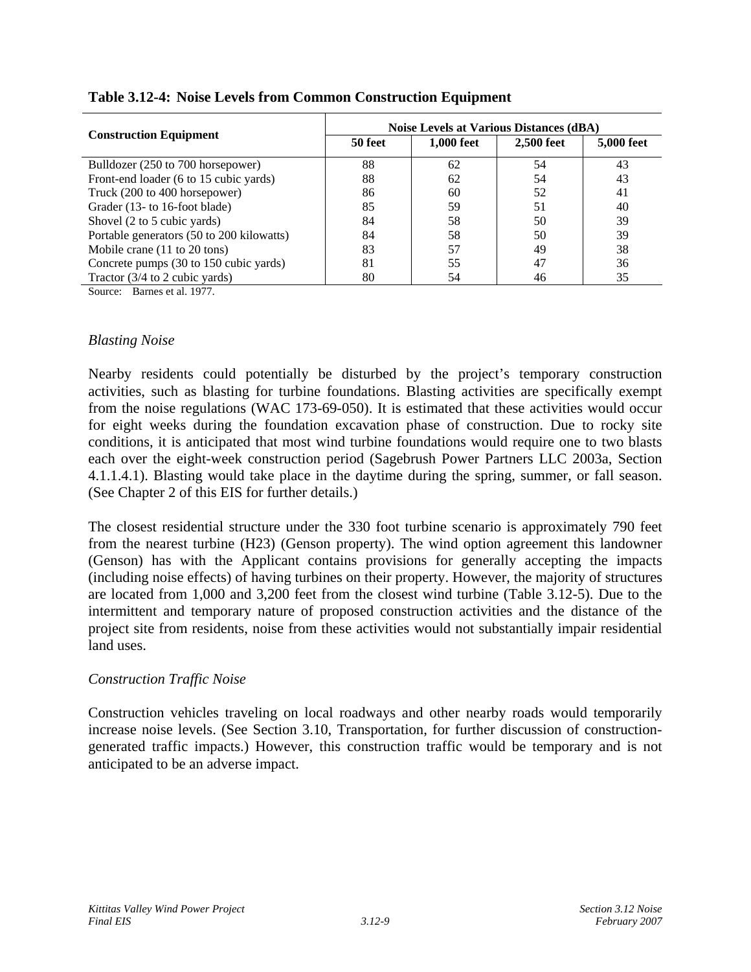|                                           | <b>Noise Levels at Various Distances (dBA)</b> |            |            |            |  |  |  |  |
|-------------------------------------------|------------------------------------------------|------------|------------|------------|--|--|--|--|
| <b>Construction Equipment</b>             | 50 feet                                        | 1,000 feet | 2,500 feet | 5,000 feet |  |  |  |  |
| Bulldozer (250 to 700 horsepower)         | 88                                             | 62         | 54         | 43         |  |  |  |  |
| Front-end loader (6 to 15 cubic yards)    | 88                                             | 62         | 54         | 43         |  |  |  |  |
| Truck (200 to 400 horsepower)             | 86                                             | 60         | 52         | 41         |  |  |  |  |
| Grader (13- to 16-foot blade)             | 85                                             | 59         | 51         | 40         |  |  |  |  |
| Shovel (2 to 5 cubic yards)               | 84                                             | 58         | 50         | 39         |  |  |  |  |
| Portable generators (50 to 200 kilowatts) | 84                                             | 58         | 50         | 39         |  |  |  |  |
| Mobile crane (11 to 20 tons)              | 83                                             | 57         | 49         | 38         |  |  |  |  |
| Concrete pumps (30 to 150 cubic yards)    | 81                                             | 55         | 47         | 36         |  |  |  |  |
| Tractor $(3/4)$ to 2 cubic yards)         | 80                                             | 54         | 46         | 35         |  |  |  |  |

### **Table 3.12-4: Noise Levels from Common Construction Equipment**

Source: Barnes et al. 1977.

### *Blasting Noise*

Nearby residents could potentially be disturbed by the project's temporary construction activities, such as blasting for turbine foundations. Blasting activities are specifically exempt from the noise regulations (WAC 173-69-050). It is estimated that these activities would occur for eight weeks during the foundation excavation phase of construction. Due to rocky site conditions, it is anticipated that most wind turbine foundations would require one to two blasts each over the eight-week construction period (Sagebrush Power Partners LLC 2003a, Section 4.1.1.4.1). Blasting would take place in the daytime during the spring, summer, or fall season. (See Chapter 2 of this EIS for further details.)

The closest residential structure under the 330 foot turbine scenario is approximately 790 feet from the nearest turbine (H23) (Genson property). The wind option agreement this landowner (Genson) has with the Applicant contains provisions for generally accepting the impacts (including noise effects) of having turbines on their property. However, the majority of structures are located from 1,000 and 3,200 feet from the closest wind turbine (Table 3.12-5). Due to the intermittent and temporary nature of proposed construction activities and the distance of the project site from residents, noise from these activities would not substantially impair residential land uses.

### *Construction Traffic Noise*

Construction vehicles traveling on local roadways and other nearby roads would temporarily increase noise levels. (See Section 3.10, Transportation, for further discussion of constructiongenerated traffic impacts.) However, this construction traffic would be temporary and is not anticipated to be an adverse impact.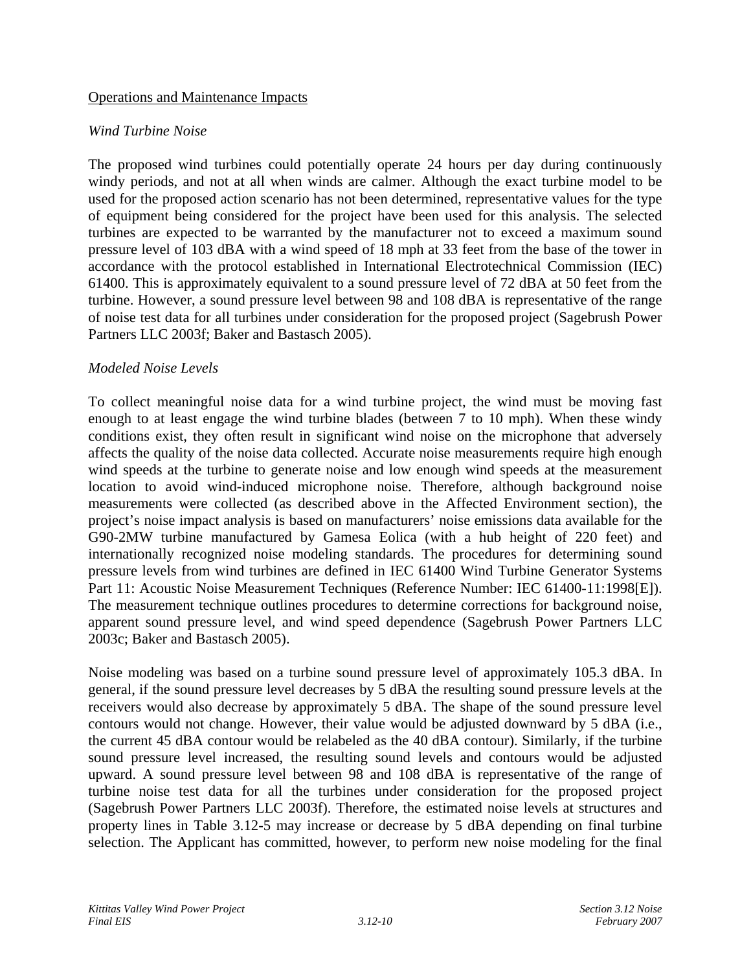### Operations and Maintenance Impacts

### *Wind Turbine Noise*

The proposed wind turbines could potentially operate 24 hours per day during continuously windy periods, and not at all when winds are calmer. Although the exact turbine model to be used for the proposed action scenario has not been determined, representative values for the type of equipment being considered for the project have been used for this analysis. The selected turbines are expected to be warranted by the manufacturer not to exceed a maximum sound pressure level of 103 dBA with a wind speed of 18 mph at 33 feet from the base of the tower in accordance with the protocol established in International Electrotechnical Commission (IEC) 61400. This is approximately equivalent to a sound pressure level of 72 dBA at 50 feet from the turbine. However, a sound pressure level between 98 and 108 dBA is representative of the range of noise test data for all turbines under consideration for the proposed project (Sagebrush Power Partners LLC 2003f; Baker and Bastasch 2005).

### *Modeled Noise Levels*

To collect meaningful noise data for a wind turbine project, the wind must be moving fast enough to at least engage the wind turbine blades (between 7 to 10 mph). When these windy conditions exist, they often result in significant wind noise on the microphone that adversely affects the quality of the noise data collected. Accurate noise measurements require high enough wind speeds at the turbine to generate noise and low enough wind speeds at the measurement location to avoid wind-induced microphone noise. Therefore, although background noise measurements were collected (as described above in the Affected Environment section), the project's noise impact analysis is based on manufacturers' noise emissions data available for the G90-2MW turbine manufactured by Gamesa Eolica (with a hub height of 220 feet) and internationally recognized noise modeling standards. The procedures for determining sound pressure levels from wind turbines are defined in IEC 61400 Wind Turbine Generator Systems Part 11: Acoustic Noise Measurement Techniques (Reference Number: IEC 61400-11:1998[E]). The measurement technique outlines procedures to determine corrections for background noise, apparent sound pressure level, and wind speed dependence (Sagebrush Power Partners LLC 2003c; Baker and Bastasch 2005).

Noise modeling was based on a turbine sound pressure level of approximately 105.3 dBA. In general, if the sound pressure level decreases by 5 dBA the resulting sound pressure levels at the receivers would also decrease by approximately 5 dBA. The shape of the sound pressure level contours would not change. However, their value would be adjusted downward by 5 dBA (i.e., the current 45 dBA contour would be relabeled as the 40 dBA contour). Similarly, if the turbine sound pressure level increased, the resulting sound levels and contours would be adjusted upward. A sound pressure level between 98 and 108 dBA is representative of the range of turbine noise test data for all the turbines under consideration for the proposed project (Sagebrush Power Partners LLC 2003f). Therefore, the estimated noise levels at structures and property lines in Table 3.12-5 may increase or decrease by 5 dBA depending on final turbine selection. The Applicant has committed, however, to perform new noise modeling for the final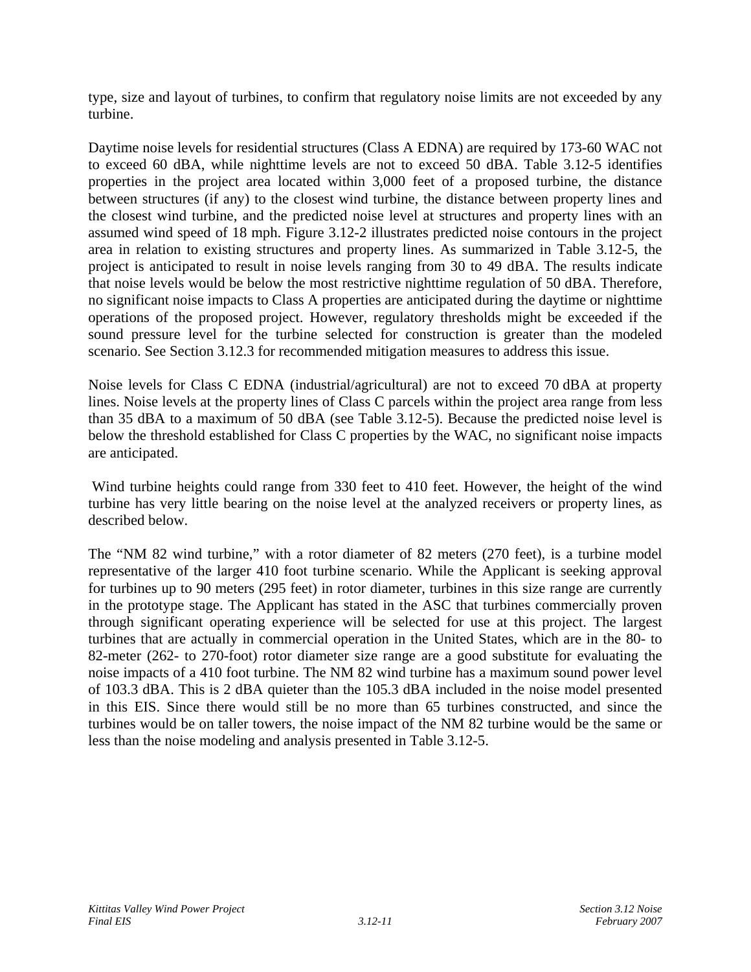type, size and layout of turbines, to confirm that regulatory noise limits are not exceeded by any turbine.

Daytime noise levels for residential structures (Class A EDNA) are required by 173-60 WAC not to exceed 60 dBA, while nighttime levels are not to exceed 50 dBA. Table 3.12-5 identifies properties in the project area located within 3,000 feet of a proposed turbine, the distance between structures (if any) to the closest wind turbine, the distance between property lines and the closest wind turbine, and the predicted noise level at structures and property lines with an assumed wind speed of 18 mph. Figure 3.12-2 illustrates predicted noise contours in the project area in relation to existing structures and property lines. As summarized in Table 3.12-5, the project is anticipated to result in noise levels ranging from 30 to 49 dBA. The results indicate that noise levels would be below the most restrictive nighttime regulation of 50 dBA. Therefore, no significant noise impacts to Class A properties are anticipated during the daytime or nighttime operations of the proposed project. However, regulatory thresholds might be exceeded if the sound pressure level for the turbine selected for construction is greater than the modeled scenario. See Section 3.12.3 for recommended mitigation measures to address this issue.

Noise levels for Class C EDNA (industrial/agricultural) are not to exceed 70 dBA at property lines. Noise levels at the property lines of Class C parcels within the project area range from less than 35 dBA to a maximum of 50 dBA (see Table 3.12-5). Because the predicted noise level is below the threshold established for Class C properties by the WAC, no significant noise impacts are anticipated.

 Wind turbine heights could range from 330 feet to 410 feet. However, the height of the wind turbine has very little bearing on the noise level at the analyzed receivers or property lines, as described below.

The "NM 82 wind turbine," with a rotor diameter of 82 meters (270 feet), is a turbine model representative of the larger 410 foot turbine scenario. While the Applicant is seeking approval for turbines up to 90 meters (295 feet) in rotor diameter, turbines in this size range are currently in the prototype stage. The Applicant has stated in the ASC that turbines commercially proven through significant operating experience will be selected for use at this project. The largest turbines that are actually in commercial operation in the United States, which are in the 80- to 82-meter (262- to 270-foot) rotor diameter size range are a good substitute for evaluating the noise impacts of a 410 foot turbine. The NM 82 wind turbine has a maximum sound power level of 103.3 dBA. This is 2 dBA quieter than the 105.3 dBA included in the noise model presented in this EIS. Since there would still be no more than 65 turbines constructed, and since the turbines would be on taller towers, the noise impact of the NM 82 turbine would be the same or less than the noise modeling and analysis presented in Table 3.12-5.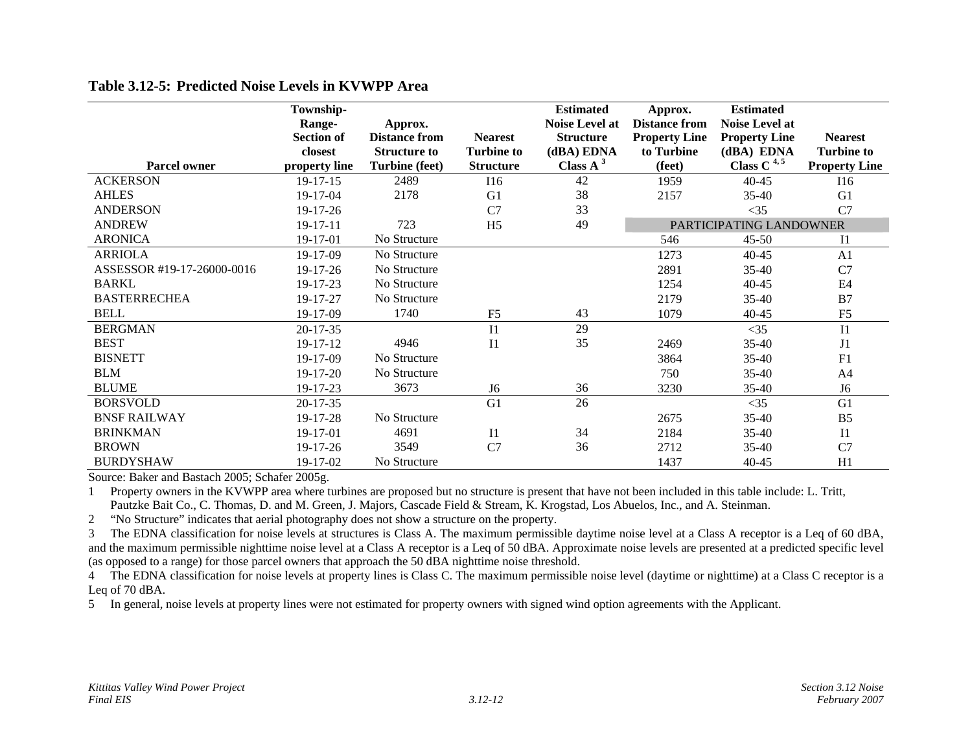|                            | Township-         |                       |                   | <b>Estimated</b>      | Approx.              | <b>Estimated</b>        |                      |
|----------------------------|-------------------|-----------------------|-------------------|-----------------------|----------------------|-------------------------|----------------------|
|                            | Range-            | Approx.               |                   | <b>Noise Level at</b> | <b>Distance from</b> | <b>Noise Level at</b>   |                      |
|                            | <b>Section of</b> | <b>Distance from</b>  | <b>Nearest</b>    | <b>Structure</b>      | <b>Property Line</b> | <b>Property Line</b>    | <b>Nearest</b>       |
|                            | closest           | <b>Structure to</b>   | <b>Turbine to</b> | (dBA) EDNA            | to Turbine           | (dBA) EDNA              | <b>Turbine to</b>    |
| <b>Parcel owner</b>        | property line     | <b>Turbine</b> (feet) | <b>Structure</b>  | Class $A^3$           | (feet)               | Class C $4,5$           | <b>Property Line</b> |
| <b>ACKERSON</b>            | $19-17-15$        | 2489                  | I16               | 42                    | 1959                 | $40 - 45$               | I16                  |
| <b>AHLES</b>               | 19-17-04          | 2178                  | G <sub>1</sub>    | 38                    | 2157                 | $35 - 40$               | G <sub>1</sub>       |
| <b>ANDERSON</b>            | $19-17-26$        |                       | C7                | 33                    |                      | $<$ 35                  | C7                   |
| <b>ANDREW</b>              | 19-17-11          | 723                   | H <sub>5</sub>    | 49                    |                      | PARTICIPATING LANDOWNER |                      |
| <b>ARONICA</b>             | 19-17-01          | No Structure          |                   |                       | 546                  | $45 - 50$               | I <sub>1</sub>       |
| <b>ARRIOLA</b>             | 19-17-09          | No Structure          |                   |                       | 1273                 | $40 - 45$               | A <sub>1</sub>       |
| ASSESSOR #19-17-26000-0016 | $19-17-26$        | No Structure          |                   |                       | 2891                 | 35-40                   | C7                   |
| <b>BARKL</b>               | 19-17-23          | No Structure          |                   |                       | 1254                 | $40 - 45$               | E <sub>4</sub>       |
| <b>BASTERRECHEA</b>        | 19-17-27          | No Structure          |                   |                       | 2179                 | $35 - 40$               | B7                   |
| <b>BELL</b>                | 19-17-09          | 1740                  | F <sub>5</sub>    | 43                    | 1079                 | $40 - 45$               | F <sub>5</sub>       |
| <b>BERGMAN</b>             | $20 - 17 - 35$    |                       | I <sub>1</sub>    | 29                    |                      | $<$ 35                  | I <sub>1</sub>       |
| <b>BEST</b>                | 19-17-12          | 4946                  | I <sub>1</sub>    | 35                    | 2469                 | $35 - 40$               | J1                   |
| <b>BISNETT</b>             | 19-17-09          | No Structure          |                   |                       | 3864                 | 35-40                   | F1                   |
| <b>BLM</b>                 | $19 - 17 - 20$    | No Structure          |                   |                       | 750                  | $35 - 40$               | A <sub>4</sub>       |
| <b>BLUME</b>               | 19-17-23          | 3673                  | J <sub>6</sub>    | 36                    | 3230                 | 35-40                   | J <sub>6</sub>       |
| <b>BORSVOLD</b>            | $20 - 17 - 35$    |                       | G1                | 26                    |                      | $<$ 35                  | G1                   |
| <b>BNSF RAILWAY</b>        | 19-17-28          | No Structure          |                   |                       | 2675                 | 35-40                   | B <sub>5</sub>       |
| <b>BRINKMAN</b>            | 19-17-01          | 4691                  | I <sub>1</sub>    | 34                    | 2184                 | 35-40                   | I <sub>1</sub>       |
| <b>BROWN</b>               | 19-17-26          | 3549                  | C7                | 36                    | 2712                 | $35 - 40$               | C7                   |
| <b>BURDYSHAW</b>           | 19-17-02          | No Structure          |                   |                       | 1437                 | $40 - 45$               | H1                   |

### **Table 3.12-5: Predicted Noise Levels in KVWPP Area**

Source: Baker and Bastach 2005; Schafer 2005g.

1 Property owners in the KVWPP area where turbines are proposed but no structure is present that have not been included in this table include: L. Tritt, Pautzke Bait Co., C. Thomas, D. and M. Green, J. Majors, Cascade Field & Stream, K. Krogstad, Los Abuelos, Inc., and A. Steinman.

2 "No Structure" indicates that aerial photography does not show a structure on the property.

3 The EDNA classification for noise levels at structures is Class A. The maximum permissible daytime noise level at a Class A receptor is a Leq of 60 dBA, and the maximum permissible nighttime noise level at a Class A receptor is a Leq of 50 dBA. Approximate noise levels are presented at a predicted specific level (as opposed to a range) for those parcel owners that approach the 50 dBA nighttime noise threshold.

4 The EDNA classification for noise levels at property lines is Class C. The maximum permissible noise level (daytime or nighttime) at a Class C receptor is a Leq of 70 dBA.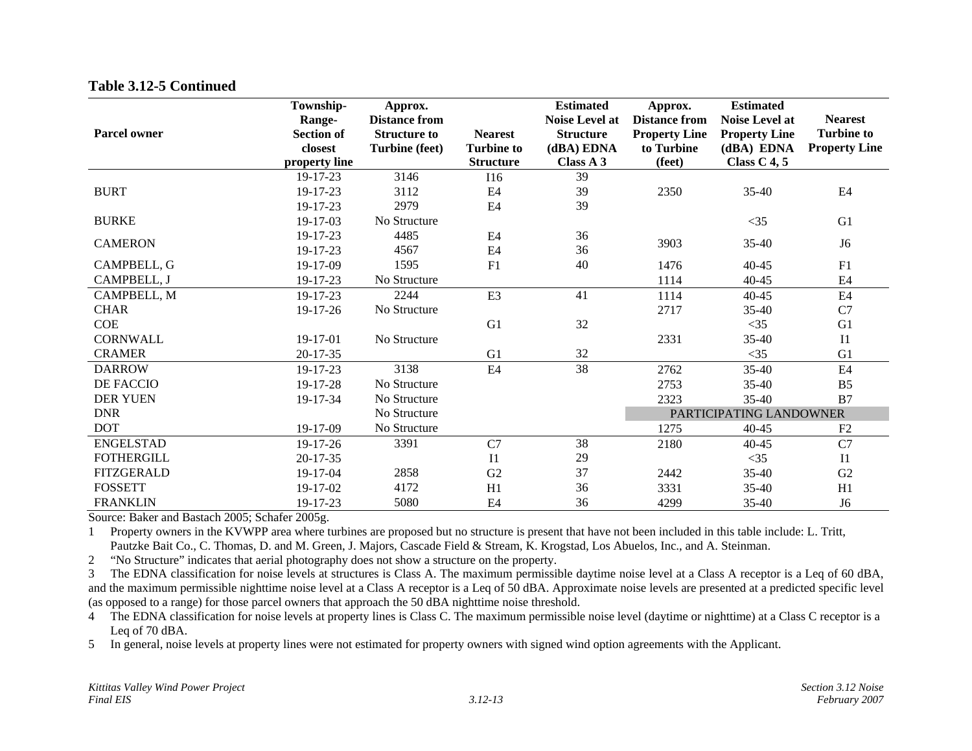| <b>Parcel owner</b> | Township-<br>Range-<br><b>Section of</b><br>closest<br>property line | Approx.<br><b>Distance from</b><br><b>Structure to</b><br><b>Turbine (feet)</b> | <b>Nearest</b><br><b>Turbine to</b><br><b>Structure</b> | <b>Estimated</b><br><b>Noise Level at</b><br><b>Structure</b><br>(dBA) EDNA<br>Class A 3 | Approx.<br><b>Distance from</b><br><b>Property Line</b><br>to Turbine<br>(feet) | <b>Estimated</b><br><b>Noise Level at</b><br><b>Property Line</b><br>(dBA) EDNA<br>Class $C$ 4, 5 | <b>Nearest</b><br><b>Turbine to</b><br><b>Property Line</b> |
|---------------------|----------------------------------------------------------------------|---------------------------------------------------------------------------------|---------------------------------------------------------|------------------------------------------------------------------------------------------|---------------------------------------------------------------------------------|---------------------------------------------------------------------------------------------------|-------------------------------------------------------------|
|                     | 19-17-23                                                             | 3146                                                                            | <b>I16</b>                                              | 39                                                                                       |                                                                                 |                                                                                                   |                                                             |
| <b>BURT</b>         | 19-17-23                                                             | 3112                                                                            | E <sub>4</sub>                                          | 39                                                                                       | 2350                                                                            | $35-40$                                                                                           | E <sub>4</sub>                                              |
|                     | 19-17-23                                                             | 2979                                                                            | E4                                                      | 39                                                                                       |                                                                                 |                                                                                                   |                                                             |
| <b>BURKE</b>        | 19-17-03                                                             | No Structure                                                                    |                                                         |                                                                                          |                                                                                 | $<$ 35                                                                                            | G1                                                          |
| <b>CAMERON</b>      | 19-17-23                                                             | 4485                                                                            | E <sub>4</sub>                                          | 36                                                                                       | 3903                                                                            | 35-40                                                                                             | J <sub>6</sub>                                              |
|                     | 19-17-23                                                             | 4567                                                                            | E4                                                      | 36                                                                                       |                                                                                 |                                                                                                   |                                                             |
| CAMPBELL, G         | 19-17-09                                                             | 1595                                                                            | F1                                                      | 40                                                                                       | 1476                                                                            | $40 - 45$                                                                                         | F1                                                          |
| CAMPBELL, J         | 19-17-23                                                             | No Structure                                                                    |                                                         |                                                                                          | 1114                                                                            | $40 - 45$                                                                                         | E <sub>4</sub>                                              |
| CAMPBELL, M         | $19 - 17 - 23$                                                       | 2244                                                                            | E <sub>3</sub>                                          | 41                                                                                       | 1114                                                                            | $40 - 45$                                                                                         | E4                                                          |
| <b>CHAR</b>         | 19-17-26                                                             | No Structure                                                                    |                                                         |                                                                                          | 2717                                                                            | 35-40                                                                                             | C7                                                          |
| <b>COE</b>          |                                                                      |                                                                                 | G1                                                      | 32                                                                                       |                                                                                 | $<$ 35                                                                                            | G1                                                          |
| <b>CORNWALL</b>     | 19-17-01                                                             | No Structure                                                                    |                                                         |                                                                                          | 2331                                                                            | 35-40                                                                                             | I <sub>1</sub>                                              |
| <b>CRAMER</b>       | $20 - 17 - 35$                                                       |                                                                                 | G1                                                      | 32                                                                                       |                                                                                 | $<$ 35                                                                                            | G1                                                          |
| <b>DARROW</b>       | 19-17-23                                                             | 3138                                                                            | E <sub>4</sub>                                          | 38                                                                                       | 2762                                                                            | 35-40                                                                                             | E <sub>4</sub>                                              |
| <b>DE FACCIO</b>    | 19-17-28                                                             | No Structure                                                                    |                                                         |                                                                                          | 2753                                                                            | 35-40                                                                                             | B <sub>5</sub>                                              |
| <b>DER YUEN</b>     | 19-17-34                                                             | No Structure                                                                    |                                                         |                                                                                          | 2323                                                                            | $35-40$                                                                                           | B7                                                          |
| <b>DNR</b>          |                                                                      | No Structure                                                                    |                                                         |                                                                                          |                                                                                 | PARTICIPATING LANDOWNER                                                                           |                                                             |
| <b>DOT</b>          | 19-17-09                                                             | No Structure                                                                    |                                                         |                                                                                          | 1275                                                                            | $40 - 45$                                                                                         | F2                                                          |
| <b>ENGELSTAD</b>    | 19-17-26                                                             | 3391                                                                            | C7                                                      | 38                                                                                       | 2180                                                                            | $40 - 45$                                                                                         | C7                                                          |
| <b>FOTHERGILL</b>   | $20 - 17 - 35$                                                       |                                                                                 | I <sub>1</sub>                                          | 29                                                                                       |                                                                                 | $<$ 35                                                                                            | I <sub>1</sub>                                              |
| <b>FITZGERALD</b>   | 19-17-04                                                             | 2858                                                                            | G <sub>2</sub>                                          | 37                                                                                       | 2442                                                                            | 35-40                                                                                             | G2                                                          |
| <b>FOSSETT</b>      | 19-17-02                                                             | 4172                                                                            | H1                                                      | 36                                                                                       | 3331                                                                            | 35-40                                                                                             | H1                                                          |
| <b>FRANKLIN</b>     | 19-17-23                                                             | 5080                                                                            | E <sub>4</sub>                                          | 36                                                                                       | 4299                                                                            | 35-40                                                                                             | J <sub>6</sub>                                              |

Source: Baker and Bastach 2005; Schafer 2005g.

1 Property owners in the KVWPP area where turbines are proposed but no structure is present that have not been included in this table include: L. Tritt, Pautzke Bait Co., C. Thomas, D. and M. Green, J. Majors, Cascade Field & Stream, K. Krogstad, Los Abuelos, Inc., and A. Steinman.

2 "No Structure" indicates that aerial photography does not show a structure on the property.

3 The EDNA classification for noise levels at structures is Class A. The maximum permissible daytime noise level at a Class A receptor is a Leq of 60 dBA, and the maximum permissible nighttime noise level at a Class A receptor is a Leq of 50 dBA. Approximate noise levels are presented at a predicted specific level (as opposed to a range) for those parcel owners that approach the 50 dBA nighttime noise threshold.

4 The EDNA classification for noise levels at property lines is Class C. The maximum permissible noise level (daytime or nighttime) at a Class C receptor is a Leq of 70 dBA.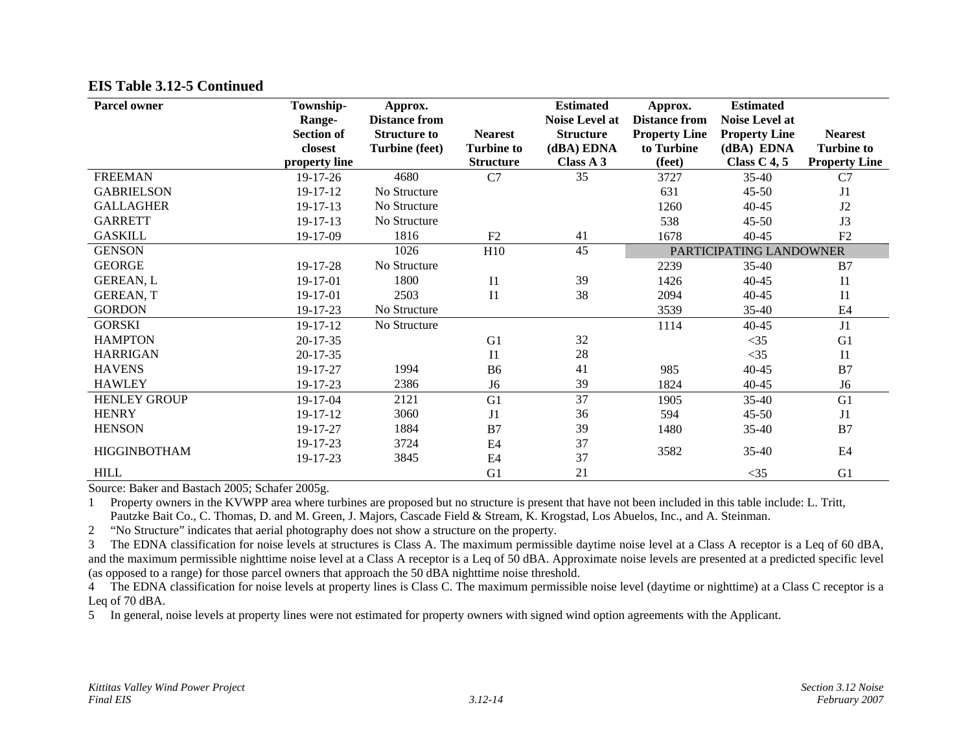| <b>Parcel owner</b> | Township-<br>Range-<br><b>Section of</b><br>closest | Approx.<br><b>Distance from</b><br><b>Structure to</b><br><b>Turbine (feet)</b> | <b>Nearest</b><br><b>Turbine to</b> | <b>Estimated</b><br>Noise Level at<br><b>Structure</b><br>(dBA) EDNA | Approx.<br><b>Distance from</b><br><b>Property Line</b><br>to Turbine | <b>Estimated</b><br><b>Noise Level at</b><br><b>Property Line</b><br>(dBA) EDNA | <b>Nearest</b><br><b>Turbine to</b> |
|---------------------|-----------------------------------------------------|---------------------------------------------------------------------------------|-------------------------------------|----------------------------------------------------------------------|-----------------------------------------------------------------------|---------------------------------------------------------------------------------|-------------------------------------|
|                     | property line                                       |                                                                                 | <b>Structure</b>                    | Class A 3                                                            | (feet)                                                                | Class $C$ 4, 5                                                                  | <b>Property Line</b>                |
| <b>FREEMAN</b>      | 19-17-26                                            | 4680                                                                            | C7                                  | 35                                                                   | 3727                                                                  | 35-40                                                                           | C7                                  |
| <b>GABRIELSON</b>   | 19-17-12                                            | No Structure                                                                    |                                     |                                                                      | 631                                                                   | $45 - 50$                                                                       | J <sub>1</sub>                      |
| <b>GALLAGHER</b>    | 19-17-13                                            | No Structure                                                                    |                                     |                                                                      | 1260                                                                  | $40 - 45$                                                                       | J2                                  |
| <b>GARRETT</b>      | $19 - 17 - 13$                                      | No Structure                                                                    |                                     |                                                                      | 538                                                                   | $45 - 50$                                                                       | J3                                  |
| <b>GASKILL</b>      | 19-17-09                                            | 1816                                                                            | F <sub>2</sub>                      | 41                                                                   | 1678                                                                  | $40 - 45$                                                                       | F <sub>2</sub>                      |
| <b>GENSON</b>       |                                                     | 1026                                                                            | H10                                 | 45                                                                   |                                                                       | PARTICIPATING LANDOWNER                                                         |                                     |
| <b>GEORGE</b>       | 19-17-28                                            | No Structure                                                                    |                                     |                                                                      | 2239                                                                  | $35 - 40$                                                                       | B7                                  |
| <b>GEREAN, L</b>    | 19-17-01                                            | 1800                                                                            | I1                                  | 39                                                                   | 1426                                                                  | $40 - 45$                                                                       | <b>I</b> 1                          |
| <b>GEREAN, T</b>    | 19-17-01                                            | 2503                                                                            | I <sub>1</sub>                      | 38                                                                   | 2094                                                                  | $40 - 45$                                                                       | I <sub>1</sub>                      |
| <b>GORDON</b>       | 19-17-23                                            | No Structure                                                                    |                                     |                                                                      | 3539                                                                  | 35-40                                                                           | E <sub>4</sub>                      |
| <b>GORSKI</b>       | 19-17-12                                            | No Structure                                                                    |                                     |                                                                      | 1114                                                                  | 40-45                                                                           | J1                                  |
| <b>HAMPTON</b>      | $20 - 17 - 35$                                      |                                                                                 | G <sub>1</sub>                      | 32                                                                   |                                                                       | $<$ 35                                                                          | G1                                  |
| <b>HARRIGAN</b>     | $20-17-35$                                          |                                                                                 | I <sub>1</sub>                      | 28                                                                   |                                                                       | $<$ 35                                                                          | I <sub>1</sub>                      |
| <b>HAVENS</b>       | 19-17-27                                            | 1994                                                                            | <b>B6</b>                           | 41                                                                   | 985                                                                   | 40-45                                                                           | B7                                  |
| <b>HAWLEY</b>       | 19-17-23                                            | 2386                                                                            | J <sub>6</sub>                      | 39                                                                   | 1824                                                                  | 40-45                                                                           | J <sub>6</sub>                      |
| <b>HENLEY GROUP</b> | 19-17-04                                            | 2121                                                                            | G1                                  | 37                                                                   | 1905                                                                  | 35-40                                                                           | G1                                  |
| <b>HENRY</b>        | 19-17-12                                            | 3060                                                                            | J1                                  | 36                                                                   | 594                                                                   | $45 - 50$                                                                       | J1                                  |
| <b>HENSON</b>       | 19-17-27                                            | 1884                                                                            | B7                                  | 39                                                                   | 1480                                                                  | 35-40                                                                           | B7                                  |
|                     | 19-17-23                                            | 3724                                                                            | E4                                  | 37                                                                   |                                                                       |                                                                                 |                                     |
| <b>HIGGINBOTHAM</b> | 19-17-23                                            | 3845                                                                            | E <sub>4</sub>                      | 37                                                                   | 3582                                                                  | 35-40                                                                           | E <sub>4</sub>                      |
| <b>HILL</b>         |                                                     |                                                                                 | G1                                  | 21                                                                   |                                                                       | $<$ 35                                                                          | G1                                  |

Source: Baker and Bastach 2005; Schafer 2005g.

1 Property owners in the KVWPP area where turbines are proposed but no structure is present that have not been included in this table include: L. Tritt, Pautzke Bait Co., C. Thomas, D. and M. Green, J. Majors, Cascade Field & Stream, K. Krogstad, Los Abuelos, Inc., and A. Steinman.

2 "No Structure" indicates that aerial photography does not show a structure on the property.

3 The EDNA classification for noise levels at structures is Class A. The maximum permissible daytime noise level at a Class A receptor is a Leq of 60 dBA, and the maximum permissible nighttime noise level at a Class A receptor is a Leq of 50 dBA. Approximate noise levels are presented at a predicted specific level (as opposed to a range) for those parcel owners that approach the 50 dBA nighttime noise threshold.

4 The EDNA classification for noise levels at property lines is Class C. The maximum permissible noise level (daytime or nighttime) at a Class C receptor is a Leq of 70 dBA.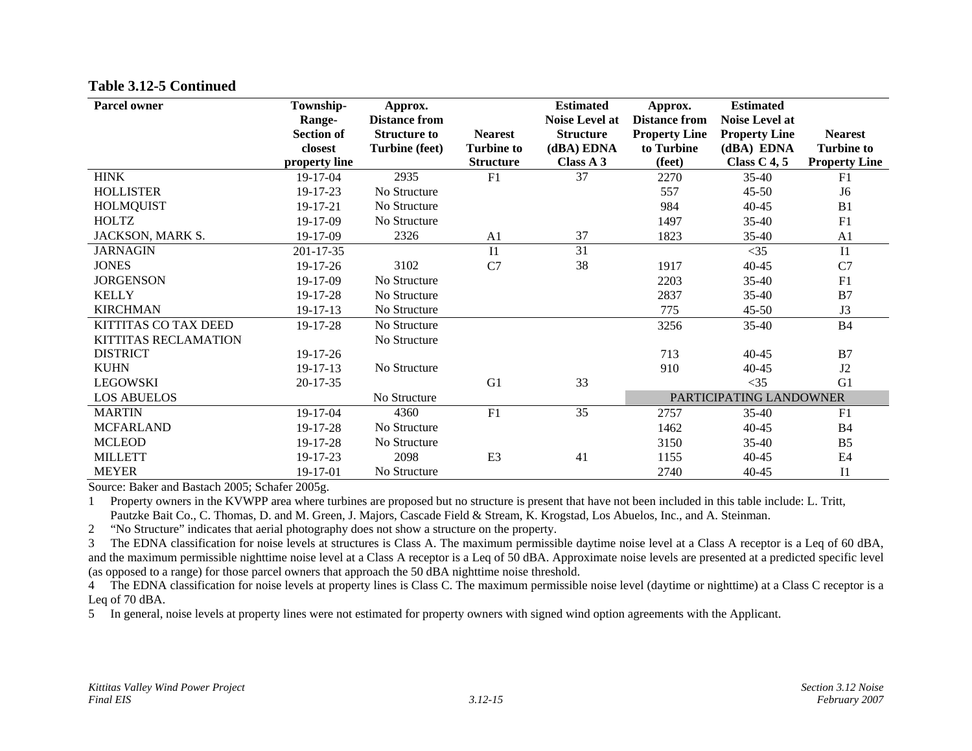| <b>Parcel owner</b>  | Township-<br>Range-<br><b>Section of</b><br>closest | Approx.<br><b>Distance from</b><br><b>Structure to</b><br><b>Turbine (feet)</b> | <b>Nearest</b><br><b>Turbine to</b> | <b>Estimated</b><br><b>Noise Level at</b><br><b>Structure</b><br>(dBA) EDNA | Approx.<br><b>Distance from</b><br><b>Property Line</b><br>to Turbine | <b>Estimated</b><br><b>Noise Level at</b><br><b>Property Line</b><br>(dBA) EDNA | <b>Nearest</b><br><b>Turbine to</b> |
|----------------------|-----------------------------------------------------|---------------------------------------------------------------------------------|-------------------------------------|-----------------------------------------------------------------------------|-----------------------------------------------------------------------|---------------------------------------------------------------------------------|-------------------------------------|
| <b>HINK</b>          | property line<br>19-17-04                           | 2935                                                                            | <b>Structure</b><br>F1              | Class A 3<br>37                                                             | (feet)<br>2270                                                        | Class $C$ 4, 5<br>$35 - 40$                                                     | <b>Property Line</b><br>F1          |
| <b>HOLLISTER</b>     |                                                     | No Structure                                                                    |                                     |                                                                             |                                                                       |                                                                                 |                                     |
|                      | 19-17-23                                            |                                                                                 |                                     |                                                                             | 557                                                                   | $45 - 50$                                                                       | J <sub>6</sub>                      |
| <b>HOLMQUIST</b>     | 19-17-21                                            | No Structure                                                                    |                                     |                                                                             | 984                                                                   | 40-45                                                                           | B1                                  |
| <b>HOLTZ</b>         | 19-17-09                                            | No Structure                                                                    |                                     |                                                                             | 1497                                                                  | $35 - 40$                                                                       | F1                                  |
| JACKSON, MARK S.     | 19-17-09                                            | 2326                                                                            | A <sub>1</sub>                      | 37                                                                          | 1823                                                                  | $35-40$                                                                         | A <sub>1</sub>                      |
| <b>JARNAGIN</b>      | 201-17-35                                           |                                                                                 | I1                                  | 31                                                                          |                                                                       | $<$ 35                                                                          | I1                                  |
| <b>JONES</b>         | $19-17-26$                                          | 3102                                                                            | C7                                  | 38                                                                          | 1917                                                                  | $40 - 45$                                                                       | C7                                  |
| <b>JORGENSON</b>     | 19-17-09                                            | No Structure                                                                    |                                     |                                                                             | 2203                                                                  | $35 - 40$                                                                       | F1                                  |
| <b>KELLY</b>         | 19-17-28                                            | No Structure                                                                    |                                     |                                                                             | 2837                                                                  | $35-40$                                                                         | B7                                  |
| <b>KIRCHMAN</b>      | 19-17-13                                            | No Structure                                                                    |                                     |                                                                             | 775                                                                   | $45 - 50$                                                                       | J3                                  |
| KITTITAS CO TAX DEED | 19-17-28                                            | No Structure                                                                    |                                     |                                                                             | 3256                                                                  | $35 - 40$                                                                       | <b>B4</b>                           |
| KITTITAS RECLAMATION |                                                     | No Structure                                                                    |                                     |                                                                             |                                                                       |                                                                                 |                                     |
| <b>DISTRICT</b>      | 19-17-26                                            |                                                                                 |                                     |                                                                             | 713                                                                   | 40-45                                                                           | B7                                  |
| <b>KUHN</b>          | 19-17-13                                            | No Structure                                                                    |                                     |                                                                             | 910                                                                   | 40-45                                                                           | J <sub>2</sub>                      |
| <b>LEGOWSKI</b>      | 20-17-35                                            |                                                                                 | G <sub>1</sub>                      | 33                                                                          |                                                                       | $<$ 35                                                                          | G1                                  |
| <b>LOS ABUELOS</b>   |                                                     | No Structure                                                                    |                                     |                                                                             |                                                                       | PARTICIPATING LANDOWNER                                                         |                                     |
| <b>MARTIN</b>        | 19-17-04                                            | 4360                                                                            | F1                                  | 35                                                                          | 2757                                                                  | $35 - 40$                                                                       | F1                                  |
| <b>MCFARLAND</b>     | 19-17-28                                            | No Structure                                                                    |                                     |                                                                             | 1462                                                                  | 40-45                                                                           | <b>B4</b>                           |
| <b>MCLEOD</b>        | 19-17-28                                            | No Structure                                                                    |                                     |                                                                             | 3150                                                                  | $35 - 40$                                                                       | B <sub>5</sub>                      |
| <b>MILLETT</b>       | 19-17-23                                            | 2098                                                                            | E <sub>3</sub>                      | 41                                                                          | 1155                                                                  | 40-45                                                                           | E <sub>4</sub>                      |
| <b>MEYER</b>         | 19-17-01                                            | No Structure                                                                    |                                     |                                                                             | 2740                                                                  | 40-45                                                                           | I <sub>1</sub>                      |

Source: Baker and Bastach 2005; Schafer 2005g.

1 Property owners in the KVWPP area where turbines are proposed but no structure is present that have not been included in this table include: L. Tritt, Pautzke Bait Co., C. Thomas, D. and M. Green, J. Majors, Cascade Field & Stream, K. Krogstad, Los Abuelos, Inc., and A. Steinman.

2 "No Structure" indicates that aerial photography does not show a structure on the property.

3 The EDNA classification for noise levels at structures is Class A. The maximum permissible daytime noise level at a Class A receptor is a Leq of 60 dBA, and the maximum permissible nighttime noise level at a Class A receptor is a Leq of 50 dBA. Approximate noise levels are presented at a predicted specific level (as opposed to a range) for those parcel owners that approach the 50 dBA nighttime noise threshold.

<sup>4</sup> The EDNA classification for noise levels at property lines is Class C. The maximum permissible noise level (daytime or nighttime) at a Class C receptor is a Leq of 70 dBA.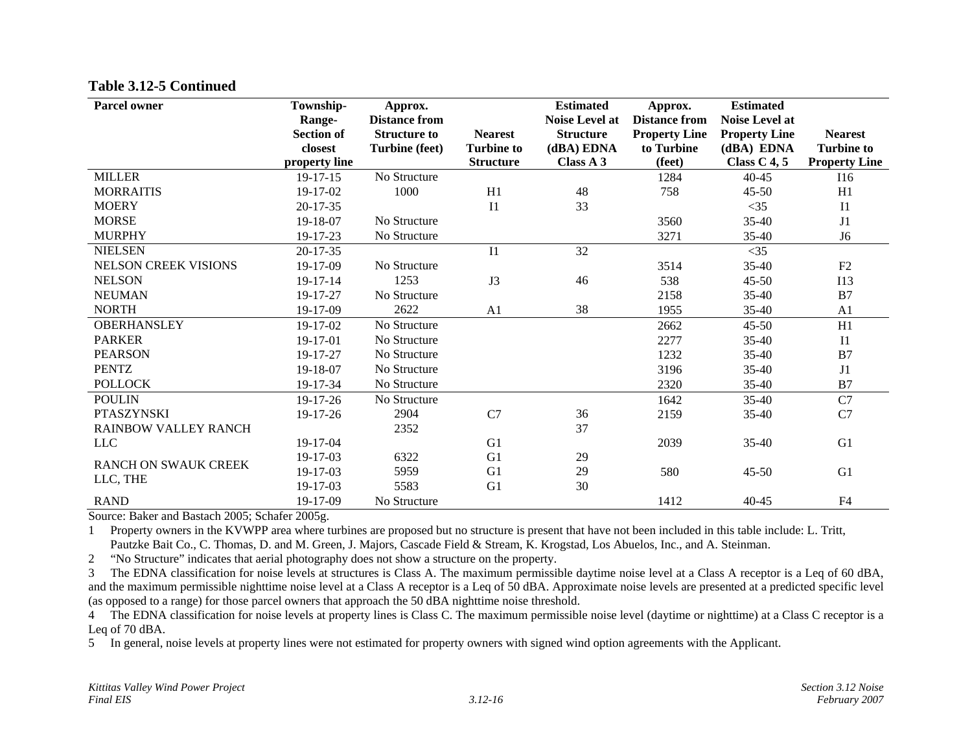| <b>Parcel owner</b>         | Township-<br>Range-<br><b>Section of</b><br>closest<br>property line | Approx.<br><b>Distance from</b><br><b>Structure to</b><br><b>Turbine (feet)</b> | <b>Nearest</b><br><b>Turbine to</b><br><b>Structure</b> | <b>Estimated</b><br><b>Noise Level at</b><br><b>Structure</b><br>(dBA) EDNA<br>Class A 3 | Approx.<br><b>Distance from</b><br><b>Property Line</b><br>to Turbine<br>(feet) | <b>Estimated</b><br><b>Noise Level at</b><br><b>Property Line</b><br>(dBA) EDNA<br>Class $C$ 4, 5 | <b>Nearest</b><br><b>Turbine to</b><br><b>Property Line</b> |
|-----------------------------|----------------------------------------------------------------------|---------------------------------------------------------------------------------|---------------------------------------------------------|------------------------------------------------------------------------------------------|---------------------------------------------------------------------------------|---------------------------------------------------------------------------------------------------|-------------------------------------------------------------|
| <b>MILLER</b>               | $19 - 17 - 15$                                                       | No Structure                                                                    |                                                         |                                                                                          | 1284                                                                            | $40 - 45$                                                                                         | I16                                                         |
| <b>MORRAITIS</b>            | 19-17-02                                                             | 1000                                                                            | H1                                                      | 48                                                                                       | 758                                                                             | $45 - 50$                                                                                         | H1                                                          |
| <b>MOERY</b>                | $20 - 17 - 35$                                                       |                                                                                 | I <sub>1</sub>                                          | 33                                                                                       |                                                                                 | $<$ 35                                                                                            | I <sub>1</sub>                                              |
| <b>MORSE</b>                | 19-18-07                                                             | No Structure                                                                    |                                                         |                                                                                          | 3560                                                                            | $35 - 40$                                                                                         | J1                                                          |
| <b>MURPHY</b>               | 19-17-23                                                             | No Structure                                                                    |                                                         |                                                                                          | 3271                                                                            | 35-40                                                                                             | J <sub>6</sub>                                              |
| <b>NIELSEN</b>              | $20 - 17 - 35$                                                       |                                                                                 | I <sub>1</sub>                                          | 32                                                                                       |                                                                                 | $<$ 35                                                                                            |                                                             |
| <b>NELSON CREEK VISIONS</b> | 19-17-09                                                             | No Structure                                                                    |                                                         |                                                                                          | 3514                                                                            | 35-40                                                                                             | F2                                                          |
| <b>NELSON</b>               | $19 - 17 - 14$                                                       | 1253                                                                            | J3                                                      | 46                                                                                       | 538                                                                             | $45 - 50$                                                                                         | I13                                                         |
| <b>NEUMAN</b>               | 19-17-27                                                             | No Structure                                                                    |                                                         |                                                                                          | 2158                                                                            | $35 - 40$                                                                                         | B7                                                          |
| <b>NORTH</b>                | 19-17-09                                                             | 2622                                                                            | A <sub>1</sub>                                          | 38                                                                                       | 1955                                                                            | $35 - 40$                                                                                         | A <sub>1</sub>                                              |
| <b>OBERHANSLEY</b>          | $19 - 17 - 02$                                                       | No Structure                                                                    |                                                         |                                                                                          | 2662                                                                            | $45 - 50$                                                                                         | H1                                                          |
| <b>PARKER</b>               | 19-17-01                                                             | No Structure                                                                    |                                                         |                                                                                          | 2277                                                                            | $35 - 40$                                                                                         | I1                                                          |
| <b>PEARSON</b>              | 19-17-27                                                             | No Structure                                                                    |                                                         |                                                                                          | 1232                                                                            | $35-40$                                                                                           | B7                                                          |
| <b>PENTZ</b>                | 19-18-07                                                             | No Structure                                                                    |                                                         |                                                                                          | 3196                                                                            | $35 - 40$                                                                                         | J1                                                          |
| <b>POLLOCK</b>              | 19-17-34                                                             | No Structure                                                                    |                                                         |                                                                                          | 2320                                                                            | $35 - 40$                                                                                         | B7                                                          |
| <b>POULIN</b>               | 19-17-26                                                             | No Structure                                                                    |                                                         |                                                                                          | 1642                                                                            | $35-40$                                                                                           | C7                                                          |
| <b>PTASZYNSKI</b>           | 19-17-26                                                             | 2904                                                                            | C7                                                      | 36                                                                                       | 2159                                                                            | $35 - 40$                                                                                         | C7                                                          |
| <b>RAINBOW VALLEY RANCH</b> |                                                                      | 2352                                                                            |                                                         | 37                                                                                       |                                                                                 |                                                                                                   |                                                             |
| <b>LLC</b>                  | 19-17-04                                                             |                                                                                 | G <sub>1</sub>                                          |                                                                                          | 2039                                                                            | $35 - 40$                                                                                         | G1                                                          |
| <b>RANCH ON SWAUK CREEK</b> | 19-17-03                                                             | 6322                                                                            | G1                                                      | 29                                                                                       |                                                                                 |                                                                                                   |                                                             |
| LLC, THE                    | 19-17-03                                                             | 5959                                                                            | G <sub>1</sub>                                          | 29                                                                                       | 580                                                                             | $45 - 50$                                                                                         | G1                                                          |
|                             | 19-17-03                                                             | 5583                                                                            | G1                                                      | 30                                                                                       |                                                                                 |                                                                                                   |                                                             |
| <b>RAND</b>                 | 19-17-09                                                             | No Structure                                                                    |                                                         |                                                                                          | 1412                                                                            | $40 - 45$                                                                                         | F4                                                          |

Source: Baker and Bastach 2005; Schafer 2005g.

1 Property owners in the KVWPP area where turbines are proposed but no structure is present that have not been included in this table include: L. Tritt, Pautzke Bait Co., C. Thomas, D. and M. Green, J. Majors, Cascade Field & Stream, K. Krogstad, Los Abuelos, Inc., and A. Steinman.

2 "No Structure" indicates that aerial photography does not show a structure on the property.

3 The EDNA classification for noise levels at structures is Class A. The maximum permissible daytime noise level at a Class A receptor is a Leq of 60 dBA, and the maximum permissible nighttime noise level at a Class A receptor is a Leq of 50 dBA. Approximate noise levels are presented at a predicted specific level (as opposed to a range) for those parcel owners that approach the 50 dBA nighttime noise threshold.

4 The EDNA classification for noise levels at property lines is Class C. The maximum permissible noise level (daytime or nighttime) at a Class C receptor is a Leq of 70 dBA.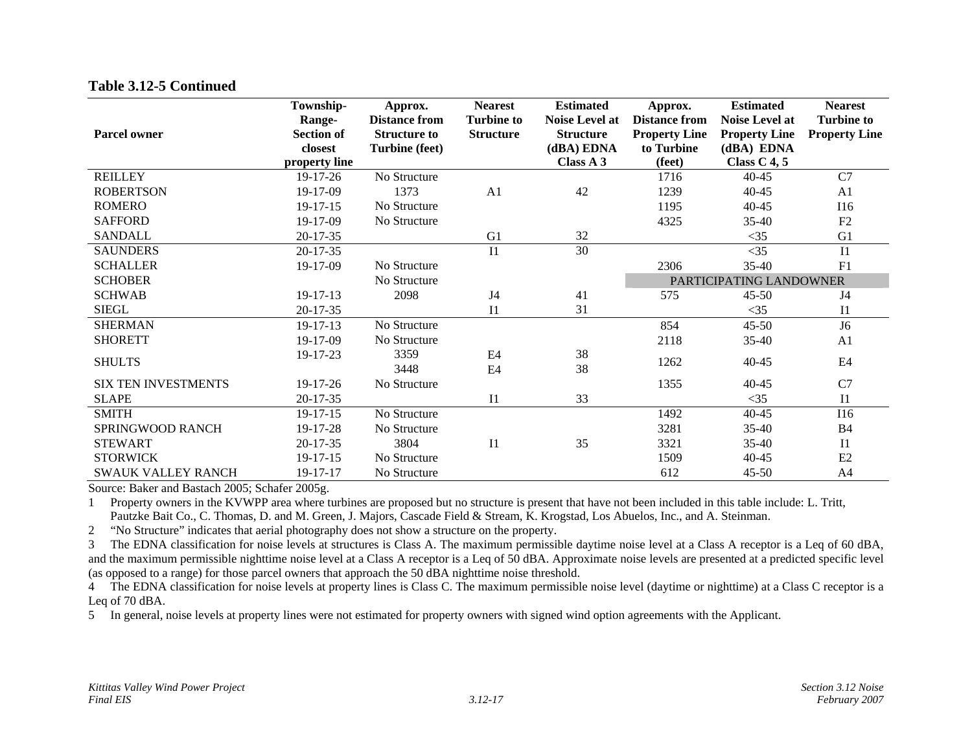| <b>Parcel owner</b>        | Township-<br>Range-<br><b>Section of</b><br>closest<br>property line | Approx.<br><b>Distance from</b><br><b>Structure to</b><br><b>Turbine (feet)</b> | <b>Nearest</b><br><b>Turbine to</b><br><b>Structure</b> | <b>Estimated</b><br><b>Noise Level at</b><br><b>Structure</b><br>(dBA) EDNA<br>Class A 3 | Approx.<br><b>Distance from</b><br><b>Property Line</b><br>to Turbine<br>(feet) | <b>Estimated</b><br><b>Noise Level at</b><br><b>Property Line</b><br>(dBA) EDNA<br>Class $C$ 4, 5 | <b>Nearest</b><br><b>Turbine to</b><br><b>Property Line</b> |  |
|----------------------------|----------------------------------------------------------------------|---------------------------------------------------------------------------------|---------------------------------------------------------|------------------------------------------------------------------------------------------|---------------------------------------------------------------------------------|---------------------------------------------------------------------------------------------------|-------------------------------------------------------------|--|
| <b>REILLEY</b>             | 19-17-26                                                             | No Structure                                                                    |                                                         |                                                                                          | 1716                                                                            | $40 - 45$                                                                                         | C7                                                          |  |
| <b>ROBERTSON</b>           | 19-17-09                                                             | 1373                                                                            | A <sub>1</sub>                                          | 42                                                                                       | 1239                                                                            | 40-45                                                                                             | A1                                                          |  |
| <b>ROMERO</b>              | $19 - 17 - 15$                                                       | No Structure                                                                    |                                                         |                                                                                          | 1195                                                                            | 40-45                                                                                             | <b>I16</b>                                                  |  |
| <b>SAFFORD</b>             | 19-17-09                                                             | No Structure                                                                    |                                                         |                                                                                          | 4325                                                                            | $35-40$                                                                                           | F <sub>2</sub>                                              |  |
| SANDALL                    | $20 - 17 - 35$                                                       |                                                                                 | G1                                                      | 32                                                                                       |                                                                                 | $<$ 35                                                                                            | G1                                                          |  |
| <b>SAUNDERS</b>            | $20 - 17 - 35$                                                       |                                                                                 | I <sub>1</sub>                                          | 30                                                                                       |                                                                                 | $<$ 35                                                                                            | I <sub>1</sub>                                              |  |
| <b>SCHALLER</b>            | 19-17-09                                                             | No Structure                                                                    |                                                         |                                                                                          | 2306                                                                            | $35 - 40$                                                                                         | F1                                                          |  |
| <b>SCHOBER</b>             |                                                                      | No Structure                                                                    |                                                         |                                                                                          |                                                                                 | PARTICIPATING LANDOWNER                                                                           |                                                             |  |
| <b>SCHWAB</b>              | $19 - 17 - 13$                                                       | 2098                                                                            | J4                                                      | 41                                                                                       | 575                                                                             | $45 - 50$                                                                                         | J4                                                          |  |
| <b>SIEGL</b>               | $20 - 17 - 35$                                                       |                                                                                 | I <sub>1</sub>                                          | 31                                                                                       |                                                                                 | $<$ 35                                                                                            | I <sub>1</sub>                                              |  |
| <b>SHERMAN</b>             | $19 - 17 - 13$                                                       | No Structure                                                                    |                                                         |                                                                                          | 854                                                                             | $45 - 50$                                                                                         | J <sub>6</sub>                                              |  |
| <b>SHORETT</b>             | 19-17-09                                                             | No Structure                                                                    |                                                         |                                                                                          | 2118                                                                            | $35 - 40$                                                                                         | A1                                                          |  |
| <b>SHULTS</b>              | 19-17-23                                                             | 3359<br>3448                                                                    | E4<br>E4                                                | 38<br>38                                                                                 | 1262                                                                            | $40 - 45$                                                                                         | E <sub>4</sub>                                              |  |
| <b>SIX TEN INVESTMENTS</b> | 19-17-26                                                             | No Structure                                                                    |                                                         |                                                                                          | 1355                                                                            | $40 - 45$                                                                                         | C7                                                          |  |
| <b>SLAPE</b>               | 20-17-35                                                             |                                                                                 | I <sub>1</sub>                                          | 33                                                                                       |                                                                                 | $<$ 35                                                                                            | I <sub>1</sub>                                              |  |
| <b>SMITH</b>               | $19 - 17 - 15$                                                       | No Structure                                                                    |                                                         |                                                                                          | 1492                                                                            | $40 - 45$                                                                                         | <b>I16</b>                                                  |  |
| SPRINGWOOD RANCH           | 19-17-28                                                             | No Structure                                                                    |                                                         |                                                                                          | 3281                                                                            | 35-40                                                                                             | <b>B4</b>                                                   |  |
| <b>STEWART</b>             | $20-17-35$                                                           | 3804                                                                            | I1                                                      | 35                                                                                       | 3321                                                                            | 35-40                                                                                             | I1                                                          |  |
| <b>STORWICK</b>            | $19 - 17 - 15$                                                       | No Structure                                                                    |                                                         |                                                                                          | 1509                                                                            | 40-45                                                                                             | E2                                                          |  |
| <b>SWAUK VALLEY RANCH</b>  | 19-17-17                                                             | No Structure                                                                    |                                                         |                                                                                          | 612                                                                             | $45 - 50$                                                                                         | A <sub>4</sub>                                              |  |

Source: Baker and Bastach 2005; Schafer 2005g.

1 Property owners in the KVWPP area where turbines are proposed but no structure is present that have not been included in this table include: L. Tritt, Pautzke Bait Co., C. Thomas, D. and M. Green, J. Majors, Cascade Field & Stream, K. Krogstad, Los Abuelos, Inc., and A. Steinman.

2 "No Structure" indicates that aerial photography does not show a structure on the property.

3 The EDNA classification for noise levels at structures is Class A. The maximum permissible daytime noise level at a Class A receptor is a Leq of 60 dBA, and the maximum permissible nighttime noise level at a Class A receptor is a Leq of 50 dBA. Approximate noise levels are presented at a predicted specific level (as opposed to a range) for those parcel owners that approach the 50 dBA nighttime noise threshold.

4 The EDNA classification for noise levels at property lines is Class C. The maximum permissible noise level (daytime or nighttime) at a Class C receptor is a Leq of 70 dBA.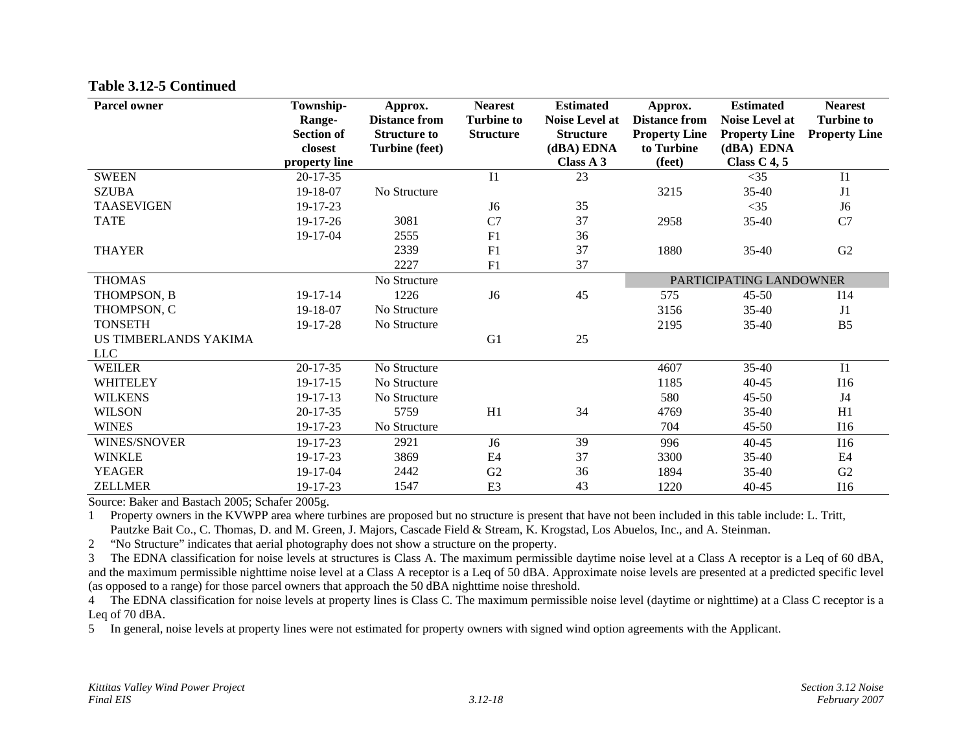| <b>Parcel owner</b>          | Township-<br>Range-<br><b>Section of</b><br>closest<br>property line | Approx.<br><b>Distance from</b><br><b>Structure to</b><br><b>Turbine (feet)</b> | <b>Nearest</b><br><b>Turbine to</b><br><b>Structure</b> | <b>Estimated</b><br><b>Noise Level at</b><br><b>Structure</b><br>(dBA) EDNA<br>Class A 3 | Approx.<br><b>Distance from</b><br><b>Property Line</b><br>to Turbine<br>(feet) | <b>Estimated</b><br><b>Noise Level at</b><br><b>Property Line</b><br>(dBA) EDNA<br>Class $C$ 4, 5 | <b>Nearest</b><br><b>Turbine to</b><br><b>Property Line</b> |
|------------------------------|----------------------------------------------------------------------|---------------------------------------------------------------------------------|---------------------------------------------------------|------------------------------------------------------------------------------------------|---------------------------------------------------------------------------------|---------------------------------------------------------------------------------------------------|-------------------------------------------------------------|
| <b>SWEEN</b>                 | $20 - 17 - 35$                                                       |                                                                                 | I <sub>1</sub>                                          | 23                                                                                       |                                                                                 | $<$ 35                                                                                            | $_{\rm II}$                                                 |
| <b>SZUBA</b>                 | 19-18-07                                                             | No Structure                                                                    |                                                         |                                                                                          | 3215                                                                            | $35 - 40$                                                                                         | J1                                                          |
| <b>TAASEVIGEN</b>            | 19-17-23                                                             |                                                                                 | J <sub>6</sub>                                          | 35                                                                                       |                                                                                 | $<$ 35                                                                                            | J <sub>6</sub>                                              |
| <b>TATE</b>                  | $19-17-26$                                                           | 3081                                                                            | C7                                                      | 37                                                                                       | 2958                                                                            | $35 - 40$                                                                                         | C7                                                          |
|                              | 19-17-04                                                             | 2555                                                                            | F1                                                      | 36                                                                                       |                                                                                 |                                                                                                   |                                                             |
| <b>THAYER</b>                |                                                                      | 2339                                                                            | F1                                                      | 37                                                                                       | 1880                                                                            | $35-40$                                                                                           | G <sub>2</sub>                                              |
|                              |                                                                      | 2227                                                                            | F <sub>1</sub>                                          | 37                                                                                       |                                                                                 |                                                                                                   |                                                             |
| <b>THOMAS</b>                |                                                                      | No Structure                                                                    |                                                         |                                                                                          |                                                                                 | PARTICIPATING LANDOWNER                                                                           |                                                             |
| THOMPSON, B                  | $19 - 17 - 14$                                                       | 1226                                                                            | J <sub>6</sub>                                          | 45                                                                                       | 575                                                                             | $45 - 50$                                                                                         | I14                                                         |
| THOMPSON, C                  | 19-18-07                                                             | No Structure                                                                    |                                                         |                                                                                          | 3156                                                                            | $35-40$                                                                                           | J1                                                          |
| <b>TONSETH</b>               | 19-17-28                                                             | No Structure                                                                    |                                                         |                                                                                          | 2195                                                                            | $35 - 40$                                                                                         | B <sub>5</sub>                                              |
| <b>US TIMBERLANDS YAKIMA</b> |                                                                      |                                                                                 | G1                                                      | 25                                                                                       |                                                                                 |                                                                                                   |                                                             |
| <b>LLC</b>                   |                                                                      |                                                                                 |                                                         |                                                                                          |                                                                                 |                                                                                                   |                                                             |
| WEILER                       | $20 - 17 - 35$                                                       | No Structure                                                                    |                                                         |                                                                                          | 4607                                                                            | 35-40                                                                                             | I1                                                          |
| <b>WHITELEY</b>              | 19-17-15                                                             | No Structure                                                                    |                                                         |                                                                                          | 1185                                                                            | $40 - 45$                                                                                         | I16                                                         |
| <b>WILKENS</b>               | $19-17-13$                                                           | No Structure                                                                    |                                                         |                                                                                          | 580                                                                             | $45 - 50$                                                                                         | J4                                                          |
| <b>WILSON</b>                | $20 - 17 - 35$                                                       | 5759                                                                            | H1                                                      | 34                                                                                       | 4769                                                                            | 35-40                                                                                             | H1                                                          |
| <b>WINES</b>                 | 19-17-23                                                             | No Structure                                                                    |                                                         |                                                                                          | 704                                                                             | $45 - 50$                                                                                         | I16                                                         |
| <b>WINES/SNOVER</b>          | 19-17-23                                                             | 2921                                                                            | J <sub>6</sub>                                          | 39                                                                                       | 996                                                                             | $40 - 45$                                                                                         | <b>I16</b>                                                  |
| <b>WINKLE</b>                | 19-17-23                                                             | 3869                                                                            | E4                                                      | 37                                                                                       | 3300                                                                            | 35-40                                                                                             | E <sub>4</sub>                                              |
| <b>YEAGER</b>                | 19-17-04                                                             | 2442                                                                            | G2                                                      | 36                                                                                       | 1894                                                                            | $35 - 40$                                                                                         | G <sub>2</sub>                                              |
| <b>ZELLMER</b>               | 19-17-23                                                             | 1547                                                                            | E <sub>3</sub>                                          | 43                                                                                       | 1220                                                                            | $40 - 45$                                                                                         | I16                                                         |

Source: Baker and Bastach 2005; Schafer 2005g.

1 Property owners in the KVWPP area where turbines are proposed but no structure is present that have not been included in this table include: L. Tritt, Pautzke Bait Co., C. Thomas, D. and M. Green, J. Majors, Cascade Field & Stream, K. Krogstad, Los Abuelos, Inc., and A. Steinman.

2 "No Structure" indicates that aerial photography does not show a structure on the property.

3 The EDNA classification for noise levels at structures is Class A. The maximum permissible daytime noise level at a Class A receptor is a Leq of 60 dBA, and the maximum permissible nighttime noise level at a Class A receptor is a Leq of 50 dBA. Approximate noise levels are presented at a predicted specific level (as opposed to a range) for those parcel owners that approach the 50 dBA nighttime noise threshold.

4 The EDNA classification for noise levels at property lines is Class C. The maximum permissible noise level (daytime or nighttime) at a Class C receptor is a Leq of 70 dBA.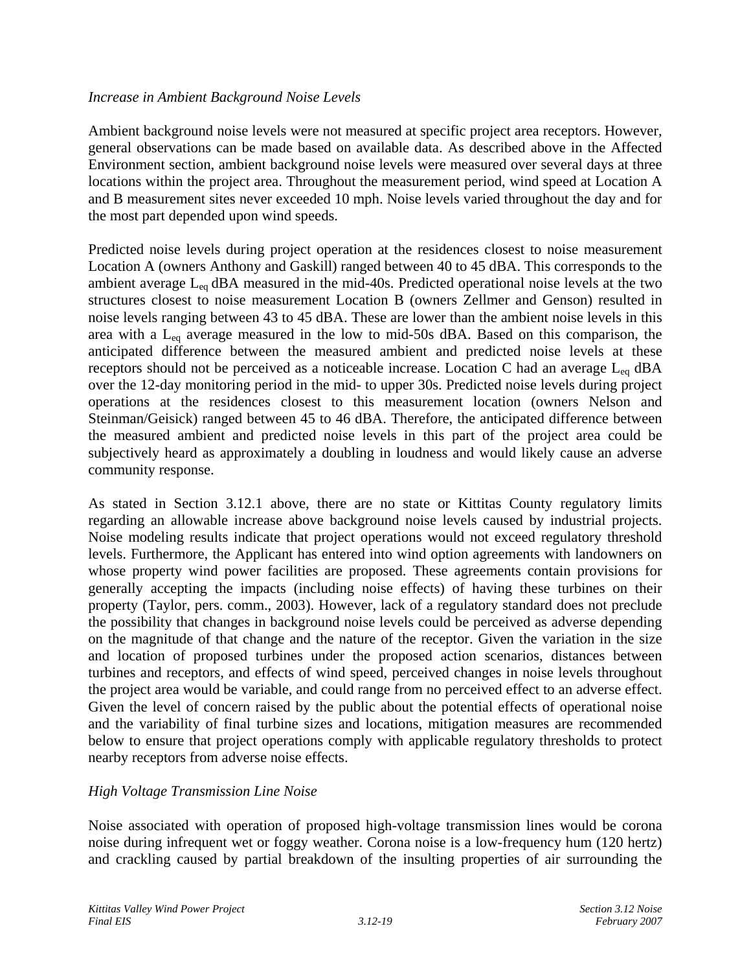### *Increase in Ambient Background Noise Levels*

Ambient background noise levels were not measured at specific project area receptors. However, general observations can be made based on available data. As described above in the Affected Environment section, ambient background noise levels were measured over several days at three locations within the project area. Throughout the measurement period, wind speed at Location A and B measurement sites never exceeded 10 mph. Noise levels varied throughout the day and for the most part depended upon wind speeds.

Predicted noise levels during project operation at the residences closest to noise measurement Location A (owners Anthony and Gaskill) ranged between 40 to 45 dBA. This corresponds to the ambient average  $L_{eq}$  dBA measured in the mid-40s. Predicted operational noise levels at the two structures closest to noise measurement Location B (owners Zellmer and Genson) resulted in noise levels ranging between 43 to 45 dBA. These are lower than the ambient noise levels in this area with a  $L_{eq}$  average measured in the low to mid-50s dBA. Based on this comparison, the anticipated difference between the measured ambient and predicted noise levels at these receptors should not be perceived as a noticeable increase. Location C had an average  $L_{eq}$  dBA over the 12-day monitoring period in the mid- to upper 30s. Predicted noise levels during project operations at the residences closest to this measurement location (owners Nelson and Steinman/Geisick) ranged between 45 to 46 dBA. Therefore, the anticipated difference between the measured ambient and predicted noise levels in this part of the project area could be subjectively heard as approximately a doubling in loudness and would likely cause an adverse community response.

As stated in Section 3.12.1 above, there are no state or Kittitas County regulatory limits regarding an allowable increase above background noise levels caused by industrial projects. Noise modeling results indicate that project operations would not exceed regulatory threshold levels. Furthermore, the Applicant has entered into wind option agreements with landowners on whose property wind power facilities are proposed. These agreements contain provisions for generally accepting the impacts (including noise effects) of having these turbines on their property (Taylor, pers. comm., 2003). However, lack of a regulatory standard does not preclude the possibility that changes in background noise levels could be perceived as adverse depending on the magnitude of that change and the nature of the receptor. Given the variation in the size and location of proposed turbines under the proposed action scenarios, distances between turbines and receptors, and effects of wind speed, perceived changes in noise levels throughout the project area would be variable, and could range from no perceived effect to an adverse effect. Given the level of concern raised by the public about the potential effects of operational noise and the variability of final turbine sizes and locations, mitigation measures are recommended below to ensure that project operations comply with applicable regulatory thresholds to protect nearby receptors from adverse noise effects.

## *High Voltage Transmission Line Noise*

Noise associated with operation of proposed high-voltage transmission lines would be corona noise during infrequent wet or foggy weather. Corona noise is a low-frequency hum (120 hertz) and crackling caused by partial breakdown of the insulting properties of air surrounding the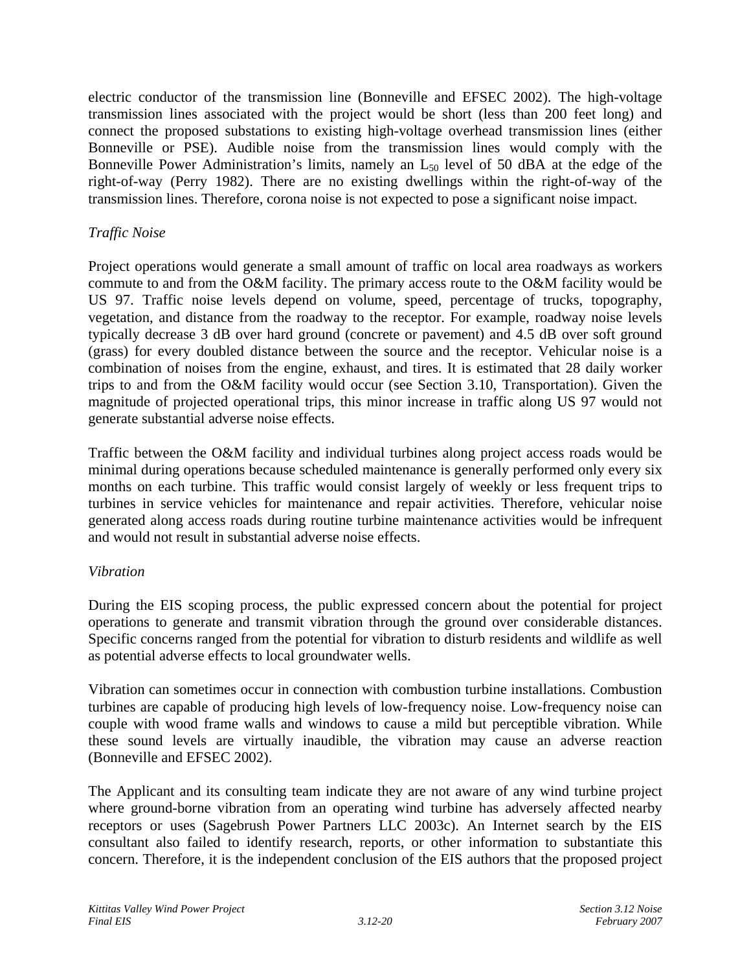electric conductor of the transmission line (Bonneville and EFSEC 2002). The high-voltage transmission lines associated with the project would be short (less than 200 feet long) and connect the proposed substations to existing high-voltage overhead transmission lines (either Bonneville or PSE). Audible noise from the transmission lines would comply with the Bonneville Power Administration's limits, namely an  $L_{50}$  level of 50 dBA at the edge of the right-of-way (Perry 1982). There are no existing dwellings within the right-of-way of the transmission lines. Therefore, corona noise is not expected to pose a significant noise impact.

## *Traffic Noise*

Project operations would generate a small amount of traffic on local area roadways as workers commute to and from the O&M facility. The primary access route to the O&M facility would be US 97. Traffic noise levels depend on volume, speed, percentage of trucks, topography, vegetation, and distance from the roadway to the receptor. For example, roadway noise levels typically decrease 3 dB over hard ground (concrete or pavement) and 4.5 dB over soft ground (grass) for every doubled distance between the source and the receptor. Vehicular noise is a combination of noises from the engine, exhaust, and tires. It is estimated that 28 daily worker trips to and from the O&M facility would occur (see Section 3.10, Transportation). Given the magnitude of projected operational trips, this minor increase in traffic along US 97 would not generate substantial adverse noise effects.

Traffic between the O&M facility and individual turbines along project access roads would be minimal during operations because scheduled maintenance is generally performed only every six months on each turbine. This traffic would consist largely of weekly or less frequent trips to turbines in service vehicles for maintenance and repair activities. Therefore, vehicular noise generated along access roads during routine turbine maintenance activities would be infrequent and would not result in substantial adverse noise effects.

## *Vibration*

During the EIS scoping process, the public expressed concern about the potential for project operations to generate and transmit vibration through the ground over considerable distances. Specific concerns ranged from the potential for vibration to disturb residents and wildlife as well as potential adverse effects to local groundwater wells.

Vibration can sometimes occur in connection with combustion turbine installations. Combustion turbines are capable of producing high levels of low-frequency noise. Low-frequency noise can couple with wood frame walls and windows to cause a mild but perceptible vibration. While these sound levels are virtually inaudible, the vibration may cause an adverse reaction (Bonneville and EFSEC 2002).

The Applicant and its consulting team indicate they are not aware of any wind turbine project where ground-borne vibration from an operating wind turbine has adversely affected nearby receptors or uses (Sagebrush Power Partners LLC 2003c). An Internet search by the EIS consultant also failed to identify research, reports, or other information to substantiate this concern. Therefore, it is the independent conclusion of the EIS authors that the proposed project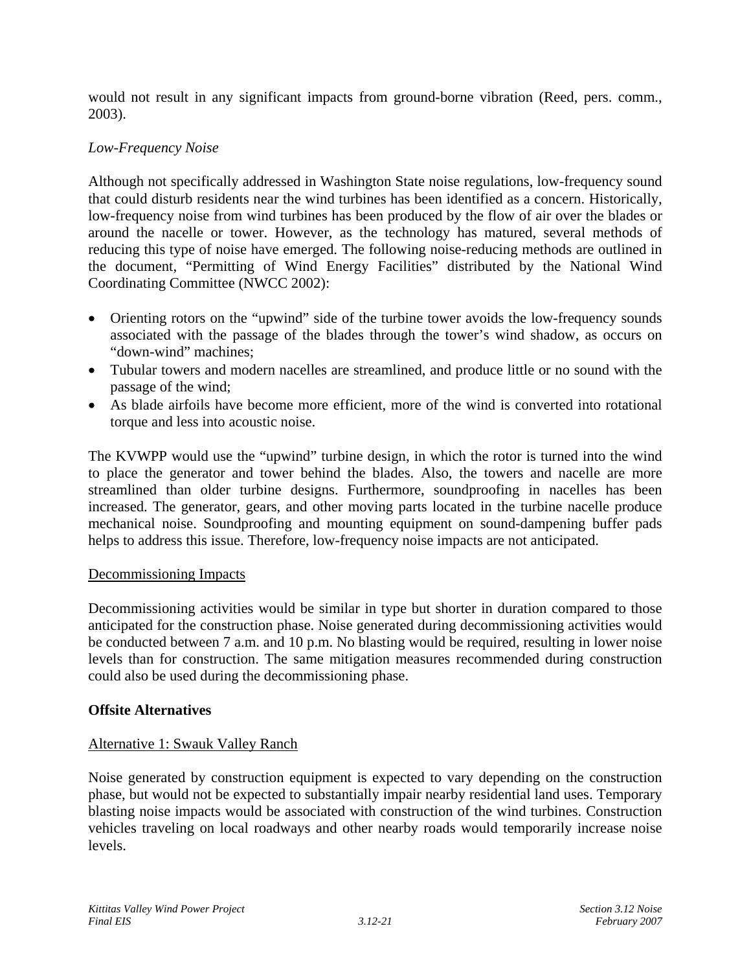would not result in any significant impacts from ground-borne vibration (Reed, pers. comm., 2003).

### *Low-Frequency Noise*

Although not specifically addressed in Washington State noise regulations, low-frequency sound that could disturb residents near the wind turbines has been identified as a concern. Historically, low-frequency noise from wind turbines has been produced by the flow of air over the blades or around the nacelle or tower. However, as the technology has matured, several methods of reducing this type of noise have emerged. The following noise-reducing methods are outlined in the document, "Permitting of Wind Energy Facilities" distributed by the National Wind Coordinating Committee (NWCC 2002):

- Orienting rotors on the "upwind" side of the turbine tower avoids the low-frequency sounds associated with the passage of the blades through the tower's wind shadow, as occurs on "down-wind" machines;
- Tubular towers and modern nacelles are streamlined, and produce little or no sound with the passage of the wind;
- As blade airfoils have become more efficient, more of the wind is converted into rotational torque and less into acoustic noise.

The KVWPP would use the "upwind" turbine design, in which the rotor is turned into the wind to place the generator and tower behind the blades. Also, the towers and nacelle are more streamlined than older turbine designs. Furthermore, soundproofing in nacelles has been increased. The generator, gears, and other moving parts located in the turbine nacelle produce mechanical noise. Soundproofing and mounting equipment on sound-dampening buffer pads helps to address this issue. Therefore, low-frequency noise impacts are not anticipated.

### Decommissioning Impacts

Decommissioning activities would be similar in type but shorter in duration compared to those anticipated for the construction phase. Noise generated during decommissioning activities would be conducted between 7 a.m. and 10 p.m. No blasting would be required, resulting in lower noise levels than for construction. The same mitigation measures recommended during construction could also be used during the decommissioning phase.

### **Offsite Alternatives**

## Alternative 1: Swauk Valley Ranch

Noise generated by construction equipment is expected to vary depending on the construction phase, but would not be expected to substantially impair nearby residential land uses. Temporary blasting noise impacts would be associated with construction of the wind turbines. Construction vehicles traveling on local roadways and other nearby roads would temporarily increase noise levels.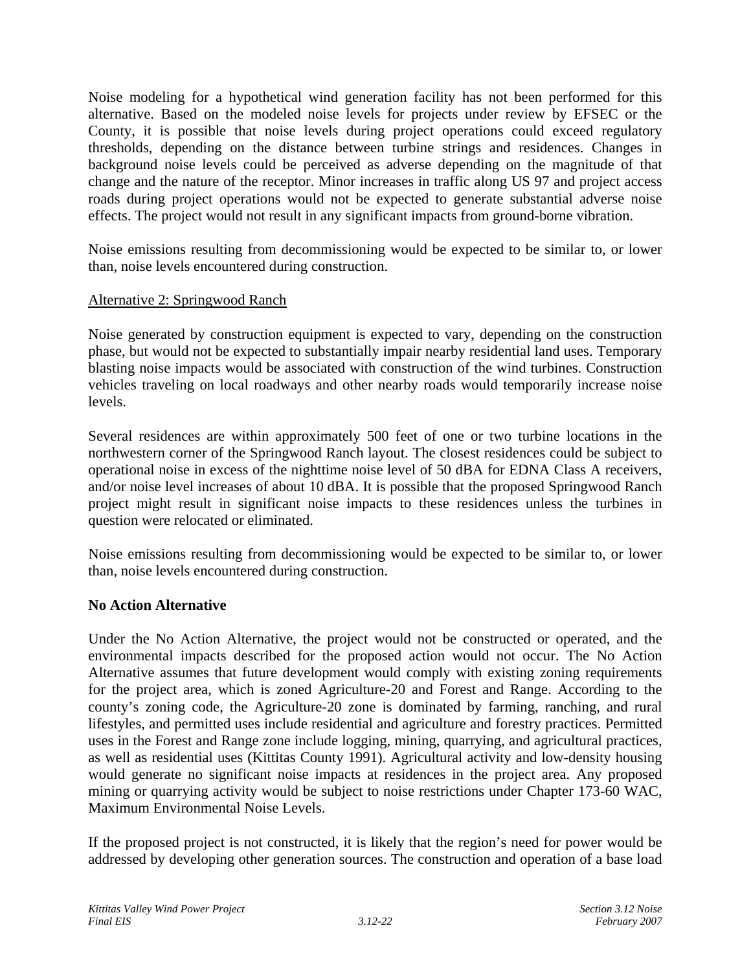Noise modeling for a hypothetical wind generation facility has not been performed for this alternative. Based on the modeled noise levels for projects under review by EFSEC or the County, it is possible that noise levels during project operations could exceed regulatory thresholds, depending on the distance between turbine strings and residences. Changes in background noise levels could be perceived as adverse depending on the magnitude of that change and the nature of the receptor. Minor increases in traffic along US 97 and project access roads during project operations would not be expected to generate substantial adverse noise effects. The project would not result in any significant impacts from ground-borne vibration.

Noise emissions resulting from decommissioning would be expected to be similar to, or lower than, noise levels encountered during construction.

### Alternative 2: Springwood Ranch

Noise generated by construction equipment is expected to vary, depending on the construction phase, but would not be expected to substantially impair nearby residential land uses. Temporary blasting noise impacts would be associated with construction of the wind turbines. Construction vehicles traveling on local roadways and other nearby roads would temporarily increase noise levels.

Several residences are within approximately 500 feet of one or two turbine locations in the northwestern corner of the Springwood Ranch layout. The closest residences could be subject to operational noise in excess of the nighttime noise level of 50 dBA for EDNA Class A receivers, and/or noise level increases of about 10 dBA. It is possible that the proposed Springwood Ranch project might result in significant noise impacts to these residences unless the turbines in question were relocated or eliminated.

Noise emissions resulting from decommissioning would be expected to be similar to, or lower than, noise levels encountered during construction.

## **No Action Alternative**

Under the No Action Alternative, the project would not be constructed or operated, and the environmental impacts described for the proposed action would not occur. The No Action Alternative assumes that future development would comply with existing zoning requirements for the project area, which is zoned Agriculture-20 and Forest and Range. According to the county's zoning code, the Agriculture-20 zone is dominated by farming, ranching, and rural lifestyles, and permitted uses include residential and agriculture and forestry practices. Permitted uses in the Forest and Range zone include logging, mining, quarrying, and agricultural practices, as well as residential uses (Kittitas County 1991). Agricultural activity and low-density housing would generate no significant noise impacts at residences in the project area. Any proposed mining or quarrying activity would be subject to noise restrictions under Chapter 173-60 WAC, Maximum Environmental Noise Levels.

If the proposed project is not constructed, it is likely that the region's need for power would be addressed by developing other generation sources. The construction and operation of a base load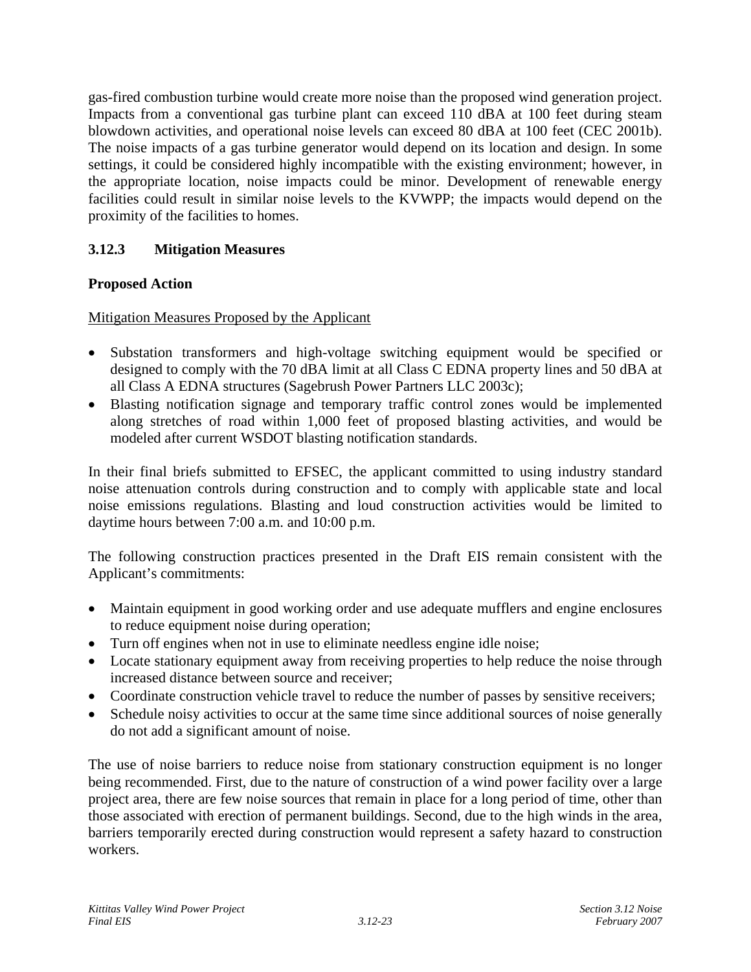gas-fired combustion turbine would create more noise than the proposed wind generation project. Impacts from a conventional gas turbine plant can exceed 110 dBA at 100 feet during steam blowdown activities, and operational noise levels can exceed 80 dBA at 100 feet (CEC 2001b). The noise impacts of a gas turbine generator would depend on its location and design. In some settings, it could be considered highly incompatible with the existing environment; however, in the appropriate location, noise impacts could be minor. Development of renewable energy facilities could result in similar noise levels to the KVWPP; the impacts would depend on the proximity of the facilities to homes.

# **3.12.3 Mitigation Measures**

## **Proposed Action**

Mitigation Measures Proposed by the Applicant

- Substation transformers and high-voltage switching equipment would be specified or designed to comply with the 70 dBA limit at all Class C EDNA property lines and 50 dBA at all Class A EDNA structures (Sagebrush Power Partners LLC 2003c);
- Blasting notification signage and temporary traffic control zones would be implemented along stretches of road within 1,000 feet of proposed blasting activities, and would be modeled after current WSDOT blasting notification standards.

In their final briefs submitted to EFSEC, the applicant committed to using industry standard noise attenuation controls during construction and to comply with applicable state and local noise emissions regulations. Blasting and loud construction activities would be limited to daytime hours between 7:00 a.m. and 10:00 p.m.

The following construction practices presented in the Draft EIS remain consistent with the Applicant's commitments:

- Maintain equipment in good working order and use adequate mufflers and engine enclosures to reduce equipment noise during operation;
- Turn off engines when not in use to eliminate needless engine idle noise;
- Locate stationary equipment away from receiving properties to help reduce the noise through increased distance between source and receiver;
- Coordinate construction vehicle travel to reduce the number of passes by sensitive receivers;
- Schedule noisy activities to occur at the same time since additional sources of noise generally do not add a significant amount of noise.

The use of noise barriers to reduce noise from stationary construction equipment is no longer being recommended. First, due to the nature of construction of a wind power facility over a large project area, there are few noise sources that remain in place for a long period of time, other than those associated with erection of permanent buildings. Second, due to the high winds in the area, barriers temporarily erected during construction would represent a safety hazard to construction workers.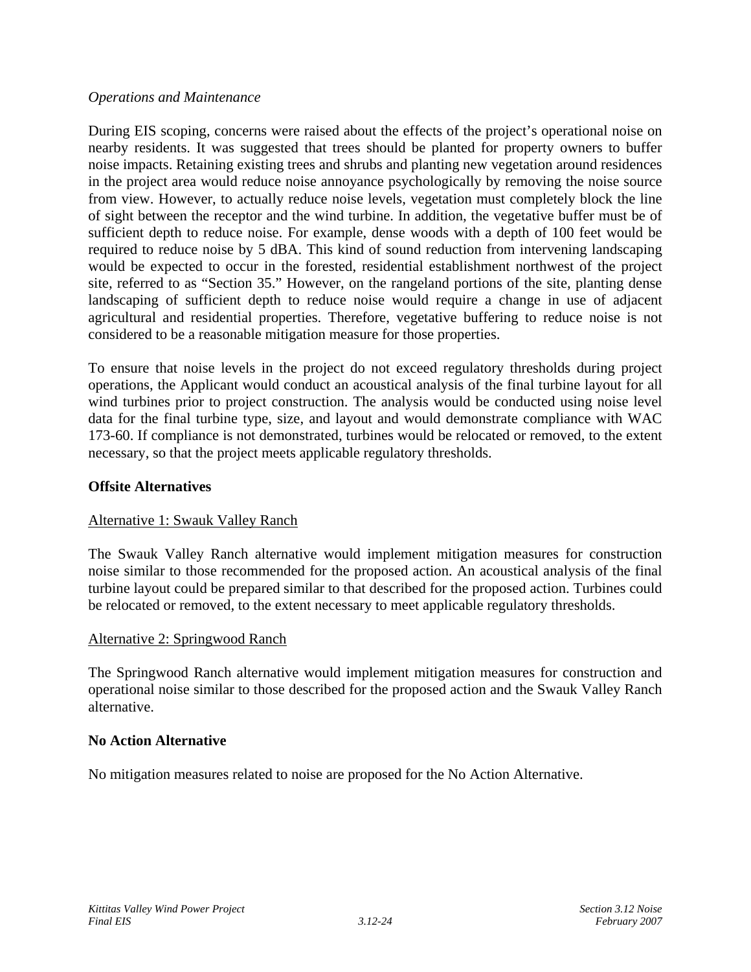### *Operations and Maintenance*

During EIS scoping, concerns were raised about the effects of the project's operational noise on nearby residents. It was suggested that trees should be planted for property owners to buffer noise impacts. Retaining existing trees and shrubs and planting new vegetation around residences in the project area would reduce noise annoyance psychologically by removing the noise source from view. However, to actually reduce noise levels, vegetation must completely block the line of sight between the receptor and the wind turbine. In addition, the vegetative buffer must be of sufficient depth to reduce noise. For example, dense woods with a depth of 100 feet would be required to reduce noise by 5 dBA. This kind of sound reduction from intervening landscaping would be expected to occur in the forested, residential establishment northwest of the project site, referred to as "Section 35." However, on the rangeland portions of the site, planting dense landscaping of sufficient depth to reduce noise would require a change in use of adjacent agricultural and residential properties. Therefore, vegetative buffering to reduce noise is not considered to be a reasonable mitigation measure for those properties.

To ensure that noise levels in the project do not exceed regulatory thresholds during project operations, the Applicant would conduct an acoustical analysis of the final turbine layout for all wind turbines prior to project construction. The analysis would be conducted using noise level data for the final turbine type, size, and layout and would demonstrate compliance with WAC 173-60. If compliance is not demonstrated, turbines would be relocated or removed, to the extent necessary, so that the project meets applicable regulatory thresholds.

## **Offsite Alternatives**

## Alternative 1: Swauk Valley Ranch

The Swauk Valley Ranch alternative would implement mitigation measures for construction noise similar to those recommended for the proposed action. An acoustical analysis of the final turbine layout could be prepared similar to that described for the proposed action. Turbines could be relocated or removed, to the extent necessary to meet applicable regulatory thresholds.

### Alternative 2: Springwood Ranch

The Springwood Ranch alternative would implement mitigation measures for construction and operational noise similar to those described for the proposed action and the Swauk Valley Ranch alternative.

## **No Action Alternative**

No mitigation measures related to noise are proposed for the No Action Alternative.